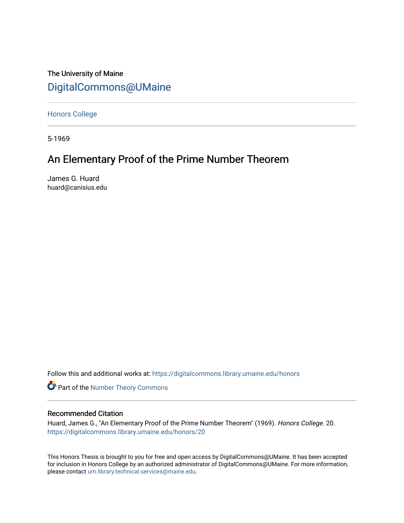The University of Maine [DigitalCommons@UMaine](https://digitalcommons.library.umaine.edu/)

[Honors College](https://digitalcommons.library.umaine.edu/honors)

5-1969

# An Elementary Proof of the Prime Number Theorem

James G. Huard huard@canisius.edu

Follow this and additional works at: [https://digitalcommons.library.umaine.edu/honors](https://digitalcommons.library.umaine.edu/honors?utm_source=digitalcommons.library.umaine.edu%2Fhonors%2F20&utm_medium=PDF&utm_campaign=PDFCoverPages) 

Part of the [Number Theory Commons](http://network.bepress.com/hgg/discipline/183?utm_source=digitalcommons.library.umaine.edu%2Fhonors%2F20&utm_medium=PDF&utm_campaign=PDFCoverPages) 

## Recommended Citation

Huard, James G., "An Elementary Proof of the Prime Number Theorem" (1969). Honors College. 20. [https://digitalcommons.library.umaine.edu/honors/20](https://digitalcommons.library.umaine.edu/honors/20?utm_source=digitalcommons.library.umaine.edu%2Fhonors%2F20&utm_medium=PDF&utm_campaign=PDFCoverPages) 

This Honors Thesis is brought to you for free and open access by DigitalCommons@UMaine. It has been accepted for inclusion in Honors College by an authorized administrator of DigitalCommons@UMaine. For more information, please contact [um.library.technical.services@maine.edu.](mailto:um.library.technical.services@maine.edu)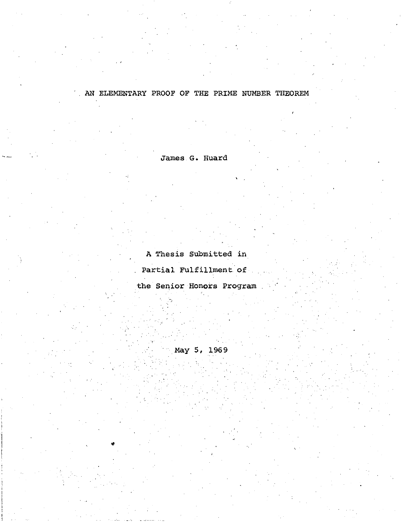## AN ELEMENTARY PROOF OF THE PRIME NUMBER THEOREM

James G. Huard

A Thesis Submitted in

Partial Fulfillment of

the Senior Honors Program

May 5, 1969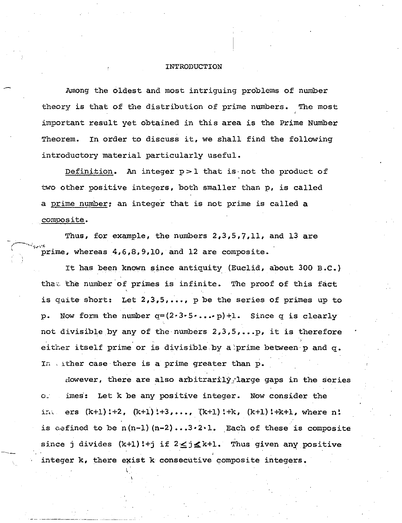#### INTRODUCTION

Among the oldest and most intriguing problems of number theory is that of the distribution of prime numbers. The most important result yet obtained in this area is the Prime Number Theorem. In order to discuss it, we shall find the following introductory material particularly useful.

Definition. An integer  $p > 1$  that is not the product of two other positive integers, both smaller than p, is called a prime number: an integer that is not prime is called a composite.

Thus, for example, the numbers  $2,3,5,7,11$ , and 13 are prime, whereas  $4,6,8,9,10$ , and 12 are composite.

It has been known since antiquity (Euclid, about 300 B.C.) that the number of primes is infinite. The proof of this fact is quite short: Let  $2,3,5,...$ , p be the series of primes up to p. Now form the number  $q=(2\cdot3\cdot5\cdot\ldots\cdot p)+1$ . Since q is clearly not divisible by any of the numbers 2,3,5, ••. p, it is therefore either itself prime or is divisible by a prime between p and q. In , ither case there is a prime greater than  $p$ .

However, there are also arbitrarily large gaps in the series o. imes': Let k be any positive integer. Now consider the in. ers  $(k+1)!+2$ ,  $(k+1)!+3$ , ...,  $(k+1)!+k$ ,  $(k+1)!+k+1$ , where n! is defined to be  $n(n-1)(n-2)...3.2.1.$  Each of these is composite since j divides  $(k+1)!+j$  if  $2 \leq j \leq k+1$ . Thus given any positive integer k, there exist k consecutive composite integers.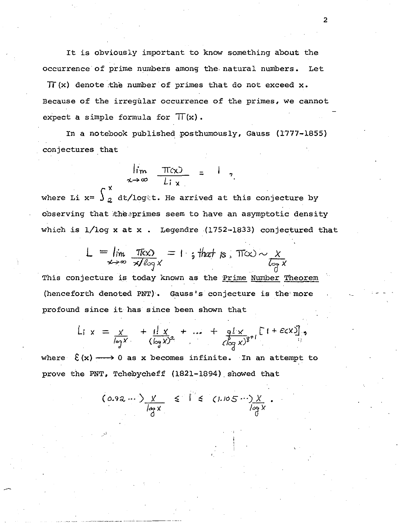It is obviously important to know something about the occurrence of prime numbers among the. natural numbers. Let

 $\pi(x)$  denote the number of primes that do not exceed x. Because of the irregular occurrence of the primes, we cannot expect a simple formula for  $\Pi(x)$ .

In a notebook published posthumously, Gauss (1777-1855) conjectures that

$$
\lim_{x\to\infty}\frac{\pi(x)}{L_{i,x}} = 1,
$$

where Li  $x=\int_{-2}^{x} dt / log$ t. He arrived at this conjecture by observing that the primes seem to have an asymptotic density which is 1/log x at x . Legendre (1752-1833) conjectured that

$$
L = \lim_{x \to \infty} \frac{\pi(x)}{x/\log x} = 1
$$
; that is,  $\pi(x) \sim \frac{x}{\log x}$ 

This conjecture is today known as the Prime Number Theorem (henceforth denoted PNT). Gauss's conjecture is the· more profound since it has since been shown that

$$
L_1 \times = \frac{x}{\log x} + \frac{1! \cdot x}{(\log x)^2} + \dots + \frac{q! \cdot x}{(\log x)^{g+1}} \left[ 1 + \frac{\varepsilon}{\log x} \right],
$$

where  $\mathcal{E}(x) \longrightarrow 0$  as x becomes infinite. In an attempt to prove the PNT, Tchebycheff (1821-1894). showed that

$$
(0.92 \cdots) \frac{X}{\log X} \leq 1 \leq (1.105 \cdots) \frac{X}{\log X}
$$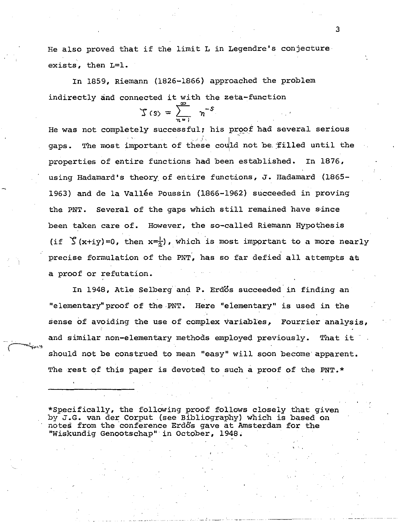He also proved that if the limit L in Legendre's conjecture exists, then L=l.

In 1859, Riemann (1826-1866} approached the problem indirectly and connected it with the zeta-function

$$
\mathcal{L}(s) = \sum_{n=1}^{\infty} n^{-s}
$$

He was not completely successful; his proof had several serious gaps. The most important of these could not be filled until the properties of entire functions had been established. In 1876, using Hadamard's theory. of entire functions, J. Hadamard (1865- 1963) and de la Vallée Poussin (1866-1962) succeeded in proving the PNT. Several of the gaps which still remained have s·ince been taken care of. However, the so-called Riemann Hypothesis (if  $\sum (x+iy) = 0$ , then  $x=\frac{1}{x}$ ), which is most important to a more nearly precise formulation of the PNT, has so far defied all attempts at a proof or refutation.

In 1948, Atle Selberg and P. Erdos succeeded in finding an "elementary" proof of the PNT. Here "elementary" is used in the sense of avoiding the use of complex variables, Fourrier analysis, and similar non-elementary methods employed previously. That it should not be construed to mean "easy" will soon become apparent. The rest of this paper is devoted to such a proof of the PNT.\*

\*Specifically, the following proof follows closely that given by J.G. van der Corput (see Bibliography) which is based on notes from the 'conference Erdos gave at Amsterdam for the "Wiskundig Genootschap" in October, 1948.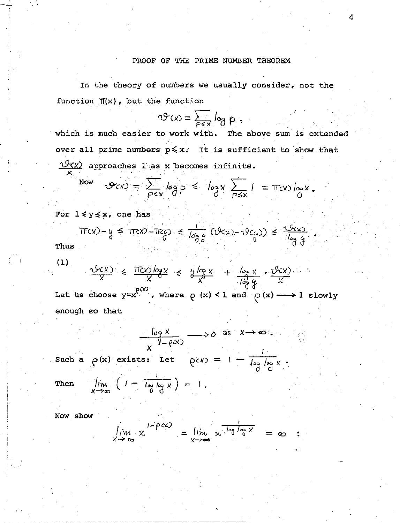## PROOF OF THE PRIME NUMBER THEOREM

4

In the theory of numbers we usually consider, not the function  $\Pi(x)$ , but the function

$$
\mathcal{O}(x) = \sum_{P \in \mathbf{x}} \log p
$$

which is much easier to work with. The above sum is extended over all prime numbers  $p \le x$ ; It is sufficient to show that  $\sqrt{2(x)}$  approaches lias x becomes infinite. X.

$$
\mathcal{P}(x) = \sum_{p \leq x} \log p \leq \log x \sum_{p \leq x} 1 = \pi(x) \log x.
$$

Now

 $\mathbf{I}$  .

For  $1 \leq y \leq x$ , one has

$$
Trcx - y \leq \pi c x - \pi c y \leq \frac{1}{\log g} (\sqrt{2c}x) - \sqrt{2c} \sqrt{3} \leq \frac{\sqrt{2c}x}{\log \frac{c}{d}}
$$

Thus

(1)

$$
\frac{\sqrt{2}(x)}{x} \leq \frac{\pi}{2} \frac{\log x}{x} \leq \frac{y \log x}{x} + \frac{\log x}{\sqrt{2}} \cdot \frac{\sqrt{2}(x)}{x}
$$

Let us choose  $y=x^{p(x)}$ , where  $p(x) < 1$  and  $p(x) \longrightarrow 1$  slowly enough so that

$$
\frac{\log X}{X} \longrightarrow 0 \text{ as } X \longrightarrow \infty
$$

*V-l(C-1.) X*  , Such a f> (x) exists: Let *!(CX)* -1-

. . . . . . . . . . . .  $\mathbf{I}$ Then  $\lim_{X \to \infty} (1 - \frac{\log \log X}{\log X}) = 1$ .

Now show

$$
\lim_{x\to\infty} x^{1-\rho cx} = \lim_{x\to\infty} x^{\frac{1}{\log\log x}} = \infty :
$$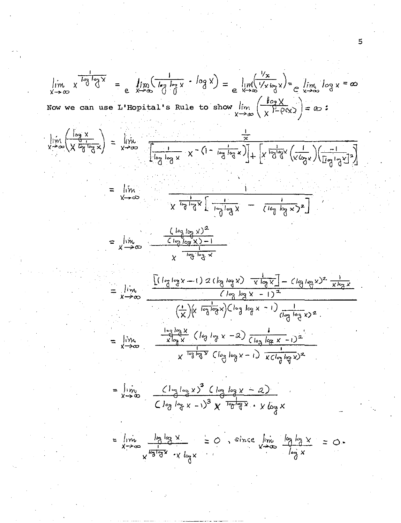$$
\lim_{x \to \infty} x^{\frac{1}{\log_3 \log x}} = e^{-\frac{1}{2} \log_3 \left(\frac{1}{\log_3 \log x} - \log_3 x\right)} = e^{-\frac{1}{2} \log_3 \left(\frac{1}{\log_3 x}\right)} = e^{-\frac{1}{2} \log_3 \left(\frac{1}{\log_3 x}\right)} = e^{-\frac{1}{2} \log_3 \left(\frac{1}{\log_3 \log x}\right)} = \lim_{x \to \infty} \frac{\frac{1}{\log_3 \left(\frac{1}{\log_3 \log_3 x}\right)} - \frac{1}{\log_3 \log_3 x}}{\frac{1}{\log_3 \log_3 x} - \frac{1}{\log_3 \log_3 x} - \frac{1}{\log_3 \log_3 x} - \frac{1}{\log_3 \log_3 x} - \frac{1}{\log_3 \log_3 x} - \frac{1}{\log_3 \log_3 x} - \frac{1}{\log_3 \log_3 x} - \frac{1}{\log_3 \log_3 x} - \frac{1}{\log_3 \log_3 x} - \frac{1}{\log_3 \log_3 x} - \frac{1}{\log_3 \log_3 x} - \frac{1}{\log_3 \log_3 x} - \frac{1}{\log_3 \log_3 x} - \frac{1}{\log_3 \log_3 x} - \frac{1}{\log_3 \log_3 x} - \frac{1}{\log_3 \log_3 x} - \frac{1}{\log_3 \log_3 x} - \frac{1}{\log_3 \log_3 x} - \frac{1}{\log_3 \log_3 x} - \frac{1}{\log_3 \log_3 x} - \frac{1}{\log_3 \log_3 x} - \frac{1}{\log_3 \log_3 x} - \frac{1}{\log_3 \log_3 x} - \frac{1}{\log_3 \log_3 x} - \frac{1}{\log_3 \log_3 x} - \frac{1}{\log_3 \log_3 x} - \frac{1}{\log_3 \log_3 x} - \frac{1}{\log_3 \log_3 x} - \frac{1}{\log_3 \log_3 x} - \frac{1}{\log_3 \log_3 x} - \frac{1}{\log_3 \log_3 x} - \frac{1}{\log_3 \log_3 x} - \frac{1}{\log_3 \log_3 x} - \frac{1}{\log_3 \log_3 x} - \frac{1}{\log
$$

 $\overline{5}$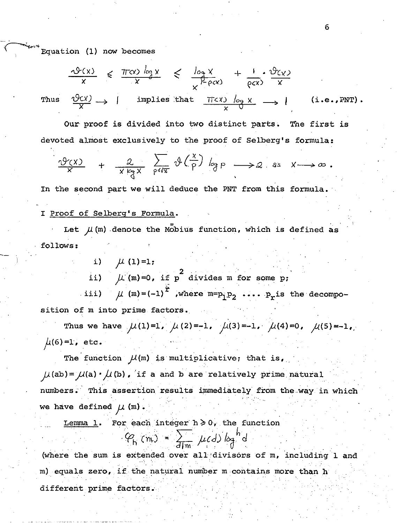Equation (1) now becomes

Th'

$$
\frac{\sqrt{2}(x)}{x} \le \frac{\pi \alpha}{x} \frac{\log x}{x} \le \frac{\log x}{x^{1-\rho cx}} + \frac{1}{\rho cx} \cdot \frac{\sqrt{2}(x)}{x}
$$
\n
$$
\frac{\sqrt{2}(x)}{x} \to 1 \quad \text{implies that} \quad \frac{\pi \alpha}{x} \frac{\log x}{\sqrt{x}} \to 1 \quad (\text{i.e., PNT}).
$$

Our proof is divided into two distinct parts. The first is devoted almost exclusively to the proof of Selberg's formula:

$$
\frac{\partial y(x)}{x} + \frac{2}{x \log x} \sum_{p \leq x} \vartheta\left(\frac{x}{p}\right) \log p \longrightarrow 2 \text{ as } x \longrightarrow \infty.
$$

In the second part we will deduce the PNT from this formula.

## I Proof of Selberg's Formula.

Let  $\mu$  (m) denote the Mobius function, which is defined as follows:

> i)  $\mu$  (1)=1; ii)  $\mu$  (m)=0, if p<sup>2</sup> divides m for some p; iii)  $\mu$  (m)=(-1)<sup> $\dot{r}$ </sup>, where m=p<sub>1</sub>p<sub>2</sub> .... p<sub>r</sub>is the decompo-

sition of m into prime factors.

Thus we have  $\mu(1)=1$ ,  $\mu(2)=-1$ ,  $\mu(3)=-1$ ,  $\mu(4)=0$ ,  $\mu(5)=-1$ ,  $\mu(6)=1$ , etc.

The function  $\mathcal{M}(m)$  is multiplicative; that is,  $\mu$ (ab) =  $\mu$ (a) ·  $\mu$ (b). if a and b are relatively prime natural numbers. This assertion results immediately from the way in which we have defined  $\mu$  (m).

Lemma 1. For each integer  $h \ge 0$ , the function

$$
P_{h}(m) = \frac{1}{d|m} \mu(d) \log^{h} d
$$

(where the sum is extended over all divisors of m, including 1 and m) equals zero, if the natural number m contains more than h different prime factors.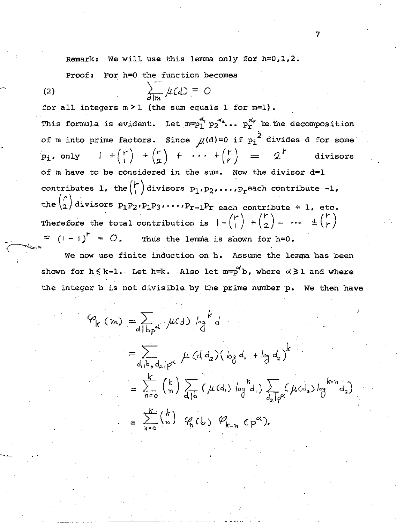Remark: We will use this lemma only for h=O,l,2.

Proof: For h=O the function becomes

(2)  $\qquad \qquad \sum_{d|n} \mu(d) = 0$ 

--

for all integers  $m > 1$  (the sum equals 1 for  $m=1$ ). This formula is evident. Let  $m=p_1^{a'_1}p_2^{a_2}\cdots p_r^{a'_r}$  be the decomposition of m into prime factors. Since  $\mu$ (d)=0 if  $p_i^2$  divides d for some<br>  $p_i$ , only  $1 + {r \choose 1} + {r \choose 2} + \cdots + {r \choose r} = 2^r$  divisors of m have to be considered in the sum. Now the divisor  $d=1$ contributes 1, the  $\binom{r}{1}$  divisors  $p_1, p_2, \ldots, p_r$  each contribute -1, the  $\binom{r}{2}$  divisors  $p_1p_2$ ,  $p_1p_3$ ,  $\cdots$ ,  $p_{r-1}p_r$  each contribute + 1, etc. Therefore the total contribution is  $1 - {r \choose 1} + {r \choose 2} - \cdots + {r \choose r}$ =  $(1-1)^{r}$  = 0. Thus the lemma is shown for h=O.

We now use finite induction on h. Assume the lemma has been shown for  $h \le k-1$ . Let  $h=k$ . Also let  $m=p^{\alpha'}b$ , where  $\alpha\geq 1$  and where the integer b is not divisible by the prime number p. We then have

$$
\varphi_{k}(m) = \sum_{d \mid b_{p} \alpha} \mu(d) \log^{k} d
$$
  
\n
$$
= \sum_{d \mid b_{p}, d_{2} \mid p^{\alpha}} \mu(d_{1}d_{2}) (\log d_{1} + \log d_{2})^{k}
$$
  
\n
$$
= \sum_{n=0}^{k} {k \choose n} \sum_{d \mid b} (\mu(d_{1}) \log^{n} d_{1}) \sum_{d_{2} \mid p^{\alpha}} (\mu(d_{2}) \log^{k-n} d_{2})
$$
  
\n
$$
= \sum_{n=0}^{k} {k \choose n} \varphi_{n}(b) \varphi_{k-n}^{n}(p^{\alpha}).
$$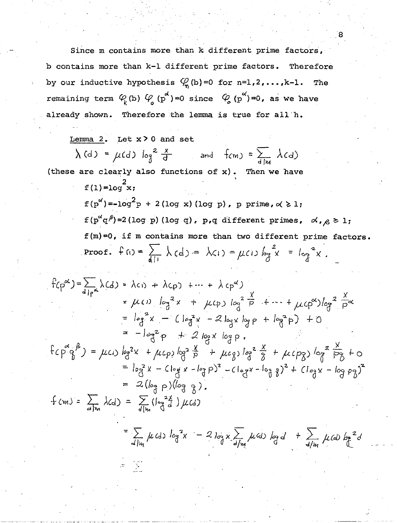Since m contains more than k different prime factors, b contains more than k-l different prime factors. Therefore by our inductive hypothesis  $\mathcal{C}_{n}$  (b)=0 for n=1,2,...,k-1. The remaining term  $\varphi (b) \varphi (p^{d})=0$  since  $\varphi (p^{\alpha})=0$ , as we have already shown. Therefore the lemma is true for all 'h.

8

Lemma 2. Let  $x > 0$  and set and  $f_{cm}$  =  $\frac{1}{d/m} \lambda(d)$ (these are clearly also functions of  $x$ ). Then we have  $f(1)=log \frac{2}{x}$ ;  $f(p^{x'}) = -log^{2} p + 2 (log x) (log p)$ , *p* prime,  $\alpha \ge 1$ ;  $f(p^{\alpha}q^{\beta})=2(\text{log }p) (\text{log }q)$ , p,q different primes,  $\alpha, \beta \geq 1$ ;  $f(m)=0$ , if m contains more than two different prime factors. Proof.  $f(t) = \sum_{d=1}^{n} \lambda(d) = \lambda(1) = \mu(1) \log^{2} x = \log^{2} x$ .  $f(\rho^{\alpha}) = \sum_{d|\alpha} \lambda(d) = \lambda(c_1) + \lambda(c_2) + \cdots + \lambda(c_p^{\alpha})$ =  $\mu$ (1)  $\log^2 x$  +  $\mu$ (p)  $\log^2 \frac{x}{p}$  + -- +  $\mu$ (p<sup>x</sup>) $\log^2 \frac{x}{p}$ =  $\log^2 x$  -  $(\log^2 x - 2 \log x \log p + \log^2 p) + 0$  $= -\log^2 p + 2 \log x \log p$ .  $f(p^2q^{\beta}) = \mu c_1 \log^2 x + \mu c_p \log^2 \frac{x}{p} + \mu c_q \log^2 \frac{x}{3} + \mu c_p \log^2 \frac{x}{3} + \rho c_p$ =  $log^{2}x - Clog x - log p)^{2} - Clog x - log^{2}y^{2} + Clog x - log pz)^{2}$ =  $2(\log p)(\log q)$ .  $f(m) = \sum_{\text{dhs}} \lambda(d) = \sum_{\text{dhs}} (le_{\text{d}}^{2\chi}) \mu(d)$ =  $\sum_{\text{dim}} \mu$  (d)  $\log^2 x$  = 2  $\log x$   $\sum_{\text{dim}} \mu$  (d)  $\log d$  +  $\sum_{\text{dim}} \mu$  (d)  $\log^2 d$  $=$   $\sqrt{2}$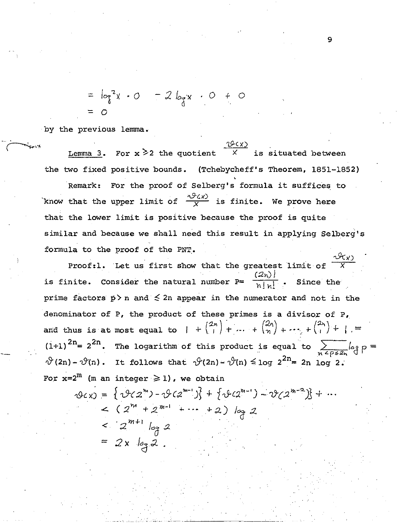=  $log^2 x$  - 0 - 2  $log x$  - 0 + 0

by the previous lemma.

Lemma 3. For  $x \ge 2$  the quotient  $\overline{x}$ is situated between the two fixed positive bounds. (Tchebycheff's Theorem, 1851-1852)

For the proof of Selberg's formula it suffices to Remark: know that the upper limit of  $\frac{\sqrt{9} \times 10}{x}$  is finite. We prove here that the lower limit is positive because the proof is quite similar and because we shall need this result in applying Selberg's formula to the proof of the PNT.

Proof:1. Let us first show that the greatest limit of  $\frac{2\pi}{X}$ is finite. Consider the natural number P=  $\frac{(2n)!}{n!n!}$  . Since the prime factors  $p > n$  and  $\leq 2n$  appear in the numerator and not in the denominator of P, the product of these primes is a divisor of P, and thus is at most equal to  $1 + {2n \choose 1} + ... + {2n \choose n} + ... + {2n \choose 1} + ...$  $(1+1)^{2n}$  = 2<sup>2n</sup>. The logarithm of this product is equal to  $\sum_{n \leq p \leq 2n} \log p =$  $\vartheta$ (2n) -  $\vartheta$ (n). It follows that  $\vartheta$ (2n) -  $\vartheta$ (n)  $\leq$  log 2<sup>2n</sup> = 2n log 2. For  $x=2^m$  (m an integer  $\geq 1$ ), we obtain

 $\varphi_{CX} = \{\vartheta_{CZ}^{m} - \vartheta_{CZ}^{m-1}\} + \{\vartheta_{CZ}^{m-1} - \vartheta_{CZ}^{m-2}\} + ...$  $<$  (2<sup>m</sup> + 2<sup>m-1</sup> + ... + 2) log 2  $<$   $2^{m+1}$   $log 2$ =  $2x \log 2$ .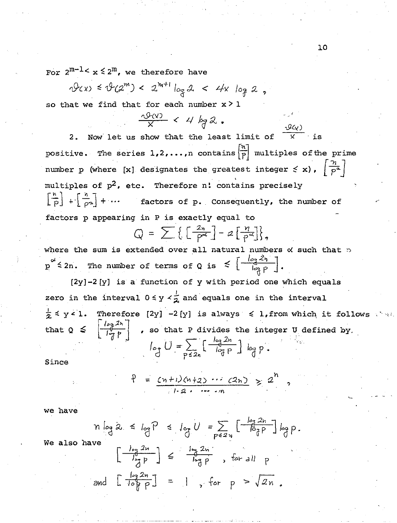For  $2^{m-1} < x \leq 2^m$ , we therefore have

$$
\vartheta(x) \leq \vartheta(2^m) < 2^{m+1} \log 2 < 4x \log 2
$$

so that we find that for each number  $x > 1$ 

 $\frac{10(x)}{x}$  < 4 kg 2. 2. Now let us show that the least limit of  $\overline{x}$  is positive. The series  $1, 2, \ldots, n$  contains  $\left(\frac{n}{p}\right)$  multiples of the prime number p (where [x] designates the greatest integer  $\leq$  x),  $\left(\frac{\eta}{p^2}\right)^2$ multiples of  $p^2$ , etc. Therefore n: contains precisely  $\left[\frac{h}{p}\right] + \left[\frac{h}{\rho 2}\right] + \cdots$  factors of p. Consequently, the number of factors p appearing in P is exactly equal to

$$
Q = \sum \left\{ \left[ \frac{2n}{p^{\alpha}} \right] - 2 \left[ \frac{n}{p^{\alpha}} \right] \right\},\
$$

where the sum is extended over all natural numbers  $\alpha$  such that  $\alpha$  $p^{\alpha} \leq 2n$ . The number of terms of Q is  $\leq \left[\frac{\log 2n}{\log p}\right]$ .

[2y]-2[y] is a function of y with period one which equals zero in the interval  $0 \leq y \leq \frac{1}{2}$  and equals one in the interval  $\frac{1}{2}$   $\leq$  y < 1. Therefore [2y] -2[y] is always  $\leq$  1, from which it follows  $x - y - 1$ . Thereform  $\begin{bmatrix} \frac{1}{2} & \frac{1}{2} \\ \frac{1}{2} & \frac{1}{2} \end{bmatrix}$  , so that P divides the integer U defined by. /o~ *211*  '~~ p ....... ·,

Since

$$
P = \frac{(n+1)(n+2) \cdots (2n)}{1 \cdot 2 \cdot \cdots \cdot n} \geq 2^n
$$

we have

$$
n \log 2 \le \log P \le \log U = \sum_{p \le 2n} \left[ \frac{\log 2n}{\log P} \right] \log p
$$

We also have

$$
\left[\frac{\log 2n}{\log p}\right] \leq \frac{\log 2n}{\log p}, \text{ for all } p
$$
  
and 
$$
\left[\frac{\log 2n}{\log p}\right] = 1, \text{ for } p > \sqrt{2n}.
$$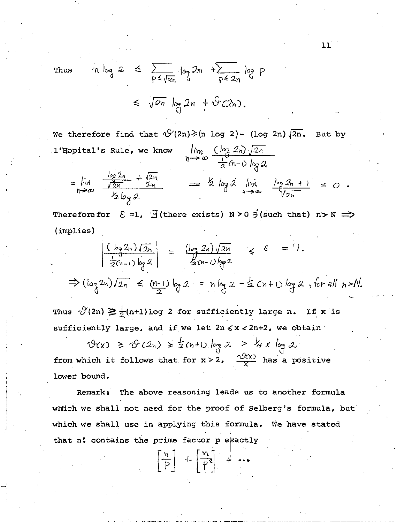Thus 
$$
n \log 2 \le \sum_{p \le \sqrt{2n}} \log 2n + \sum_{p \le 2n} \log p
$$
  
 $\le \sqrt{2n} \log 2n + \sqrt[4]{(2n)}$ .

We therefore find that  $\sqrt{2}(2n) \geq (n \log 2) - (\log 2n) \sqrt{2n}$ . But by l'Hopital's Rule, we know  $\lim_{n\to\infty} \frac{(\log 2n)\sqrt{2n}}{\frac{1}{2}(n-1)\log 2}$  $\mathbf{L} \cdot \mathbf{a}$ 

$$
= \lim_{h \to \infty} \frac{\frac{\log 2h}{\sqrt{2n}} + \frac{\log 1}{2h}}{\frac{\log 2}{\sqrt{2n}}} = \frac{1}{2} \log 2 \lim_{h \to \infty} \frac{\log 2h + 1}{\sqrt{2n}} = 0.
$$

Therefore for  $\Sigma = 1$ ,  $\exists$  (there exists) N > 0  $\exists$  (such that) n > N  $\implies$  $(implies)$ 

$$
\left|\frac{(\log 2n)\sqrt{2n}}{\frac{1}{2}(n-1)\log 2}\right| = \frac{(\log 2n)\sqrt{2n}}{\frac{1}{2}(n-1)\log 2} \leq \varepsilon = 1.
$$
  
\n
$$
\Rightarrow (\log 2n)\sqrt{2n} \leq (\frac{n-1}{2})\log 2 = n\log 2 - \frac{1}{2}(n+1)\log 2, \text{ for all } n > N.
$$

Thus  $\sqrt[3]{2n} \ge \frac{1}{2}(n+1) \log 2$  for sufficiently large n. If x is sufficiently large, and if we let  $2n \le x < 2n+2$ , we obtain

 $\vartheta(x) \ge \vartheta(2_n) \ge \frac{1}{2}(n+1)\log 2 > \frac{1}{4}x \log 2$ from which it follows that for  $x > 2$ ,  $\frac{Q(x)}{x}$  has a positive lower bound.

Remark: The above reasoning leads us to another formula which we shall not need for the proof of Selberg's formula, but which we shall use in applying this formula. We have stated that n! contains the prime factor p exactly

 $\left\lceil \frac{n}{p} \right\rceil$  +  $\left\lceil \frac{n}{p^2} \right\rceil$  + ...

11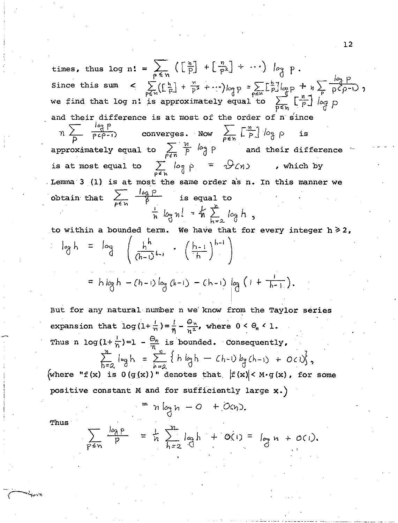times, thus log n: =  $\sum_{p \leq n} \left( \left[ \frac{n}{p} \right] + \left[ \frac{n}{p^2} \right] + \cdots \right)$   $\log p$ . Since this sum  $\left( \sum_{p \leq n}^{\infty} (\lfloor \frac{h}{p} \rfloor + \frac{n}{p^2} + \cdots) \right)_{p \geq n} p = \sum_{p \leq n} \lfloor \frac{h}{p} \rfloor_{p \geq p} + n \sum_{p \geq n} \frac{\lfloor \frac{h}{p} \rfloor}{p^2 + n} p$ ,<br>we find that log n! is approximately equal to  $\sum_{p \leq n} \lfloor \frac{n}{p} \rfloor \big|_{\substack{p \geq n}}$ and their difference is at most of the order of n since  $n \sum_{P} \frac{109}{P^2} P$ converges. Now  $\sum_{p \le n} \left[ \frac{n}{p} \right] / o_{\frac{n}{2}}$ is approximately equal to  $\sum_{P\leq n}\frac{M}{P}$   $log$   $P$  and their difference is at most equal to  $\sum_{p \neq h} \log \rho = \sqrt{2} \ln 2$  , which by Lemma 3 (1) is at most the same order as n. In this manner we obtain that  $\sum_{p \leq n} \frac{\log p}{p}$  is equal to  $\frac{1}{n}$   $log n! = \frac{1}{n} \sum_{k=0}^{n} log h$ , to within a bounded term. We have that for every integer  $h \geq 2$ ,

$$
\begin{array}{lcl}\n\log h & = & \log \left( \frac{h^h}{(h-1)^{h-1}} \right) & \\
& = & h \log h - (h-1) \log (h-1) - (h-1) \log \left( 1 + \frac{1}{h-1} \right).\n\end{array}
$$

But for any natural number n we know from the Taylor series expansion that  $\log(1+\frac{1}{n})=\frac{1}{n}-\frac{\Theta_n}{n^2}$ , where  $0 < \Theta_n < 1$ . Thus n  $\log(1+\frac{1}{n})=1-\frac{\Theta_n}{n}$  is bounded. Consequently,  $\sum_{h=0}^{n} \log h = \sum_{h=0}^{n} \left\{ h \log h - (h-h) \log (h-h) + O(1) \right\},$ 

(where "f(x) is  $0(g(x))$ " denotes that  $|f(x)| < M \cdot g(x)$ , for some positive constant M and for sufficiently large x.)

$$
= n \log n - Q + O(n)
$$
.

Thus

$$
\sum_{p\leq n} \frac{\log p}{p} = \frac{1}{n} \sum_{h=2}^{n} \log h + O(1) = \log n + O(1).
$$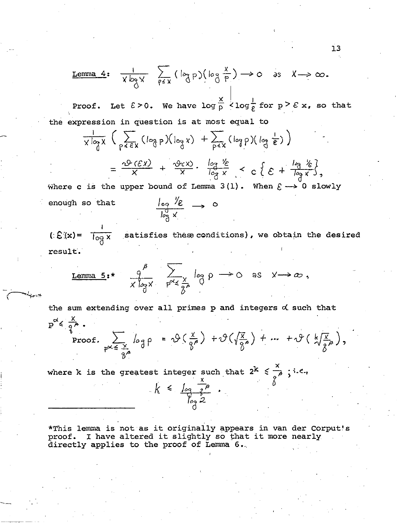**Lemma 4:** 
$$
\frac{1}{X \log X}
$$
  $\sum_{p \leq X} (\log P)(\log \frac{X}{p}) \rightarrow \infty$  as  $X \rightarrow \infty$ .

Proof. Let  $\epsilon > 0$ . We have  $\log \frac{x}{p} < \log \frac{1}{\epsilon}$  for  $p \geq \epsilon$  x, so that the expression in question is at most equal to

$$
\frac{1}{x \log x} \left( \sum_{p \leqslant \epsilon x} (\log p)(\log x) + \sum_{p \leqslant x} (\log p)(\log \frac{1}{\epsilon}) \right)
$$

$$
= \frac{\sqrt{2} \cdot (\mathcal{E} \times 1)}{X} + \frac{\sqrt{2} \cdot (\mathcal{E} \times 1)}{X} \cdot \frac{\log \frac{1}{X}}{\log X} < C \left\{ \mathcal{E} + \frac{\log \frac{1}{X}}{\log X} \right\},
$$

Where c is the upper bound of Lemma 3(1). When  $\epsilon \longrightarrow 0$  slowly  $\frac{1}{\log x}$   $\rightarrow$  0 enough so that

( $E(x) = \frac{1}{\log x}$  satisfies these conditions), we obtain the desired result.

$$
\underline{\text{Lemma 5:}}^{\ast} \quad \frac{9}{\chi \log \chi} \quad \sum_{p^{\alpha} \leq \frac{\chi}{\beta^{\beta}}} \log p \implies 0 \quad \text{as} \quad \chi \longrightarrow \infty \; ,
$$

the sum extending over all primes p and integers  $d$  such that

$$
p^{\alpha} \le \frac{x}{q^{\beta}}
$$
.  
Proof.  $\sum_{p^{\alpha} \le \frac{x}{q^{\beta}}}$   $\log p = \vartheta(\frac{x}{q^{\beta}}) + \vartheta(\sqrt{\frac{x}{q^{\beta}}}) + \dots + \vartheta(\sqrt{\frac{x}{q^{\beta}}})$ ,

where k is the greatest integer such that  $2^{\mathbf{k}}$ X  $\leq \frac{x}{\beta}$ ; i.e.,  $\delta^+$ 

 $k \triangleq \frac{\log q^n}{\log 2}$ .

--

\*This lemma is not as it originally appears in van der Corput's proof. I have altered it slightly so that it more nearly directly applies to the proof of Lemma 6 •..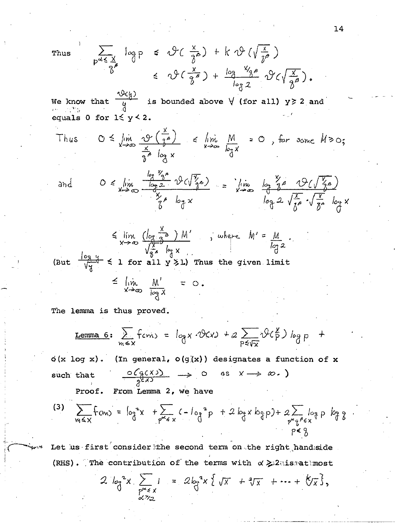Thu

$$
\mathbf{s} \quad \sum_{p \leq \frac{X}{2}} \log p \quad \leq \quad \vartheta \left( \frac{x}{\hat{\delta}^{\beta}} \right) \quad + \quad \mathbf{k} \quad \vartheta \left( \sqrt{\frac{x}{\hat{\delta}^{\beta}}} \right)
$$
\n
$$
\leq \quad \vartheta \left( \frac{x}{\hat{\delta}^{\beta}} \right) \quad + \quad \frac{\log X_{\hat{\delta}^{\beta}}}{\log 2} \quad \vartheta \left( \sqrt{\frac{x}{\hat{\delta}^{\beta}}} \right).
$$

We know that  $\frac{\sqrt{2}(l_1)}{4}$  is bounded above  $\forall$  (for all)  $y \ge 2$  and 69-11-53 equals 0 for  $1 \le y < 2$ .

Thus 
$$
0 \le \lim_{x \to \infty} \frac{\varphi(\frac{x}{a^b})}{\frac{x}{a^b} \log x} \le \lim_{x \to \infty} \frac{M}{\log x} = 0
$$
, for some  $M \ge 0$ ;  
and  $0 \le \lim_{x \to \infty} \frac{\log \frac{V_a a}{x}}{\frac{\log 2}{\log x}} \frac{\varphi(\sqrt{\frac{x}{a}}s)}{\frac{x}{b^a} \log x} = \lim_{x \to \infty} \frac{\log \frac{Y_a}{a} \frac{\varphi(\sqrt{\frac{x}{a}}s)}{\frac{x}{b^a} \log x}}{\log 2 \sqrt{\frac{x}{b^a}} \cdot \sqrt{\frac{x}{b^a}} \log x}$ 

$$
\leq \lim_{x \to \infty} \frac{(\log \frac{x}{2^{b}}) M'}{\sqrt{\frac{x}{2^{b}} \log x}}, \text{ where } M' = \frac{M}{\log 2}
$$

(But  $\frac{\log 4}{\sqrt[3]{3}} \le 1$  for all  $y \ge 1$ ) Thus the given limit

$$
\leq \lim_{x\to\infty}\frac{M'}{\log x} = 0.
$$

The lemma is thus proved.

$$
\underline{\text{Lemma 6:}} \quad \sum_{m \leq x} \text{ from } \sum_{n \leq x} \text{ for } x \cdot \vartheta(x) + a \sum_{p \leq \sqrt{x}} \vartheta(\frac{x}{p}) \log p \quad \text{if}
$$

 $\phi(x \log x)$ . (In general,  $\phi(g(x))$  designates a function of x  $\frac{O(q(X))}{q^{kX}} \longrightarrow O$  as  $X \longrightarrow \infty$ .) such that Proof. From Lemma 2, we have

(3) 
$$
\sum_{w \leq x} f_{cm} = \int_{0}^{2} x + \sum_{p^{\alpha} \leq x} (-\int_{0}^{2} p + 2 \int_{0}^{2} x \log p) + 2 \sum_{\substack{p^{\alpha} \leq x \\ p \leq x}} \int_{0}^{2} p \log p
$$

Let us first consider the second term on the right handside (RHS). The contribution of the terms with  $\alpha \geq 2$  is at most

$$
2 \log^{2} x \sum_{\substack{p^{\alpha} \leq x \\ \alpha \geq 2}} 1 = 2 \log^{2} x \{ \sqrt{x} + \sqrt[4]{x} + \cdots + \sqrt[4]{x} \},
$$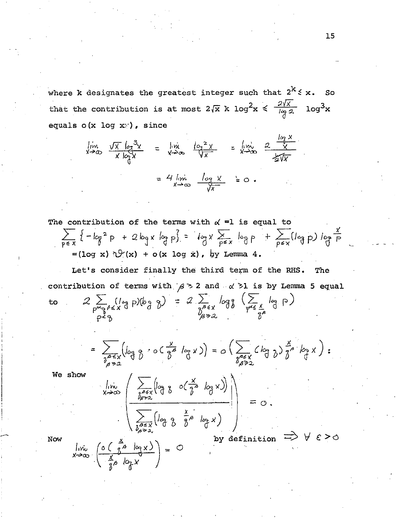where k designates the greatest integer such that  $2^k \leq x$ . So  $log<sup>3</sup>x$ that the contribution is at most  $2\sqrt{x}$  k  $\log^2 x \leq \frac{2\sqrt{x}}{\log 2}$ equals  $o(x \log x)$ , since

$$
\lim_{x \to \infty} \frac{\sqrt{x} \log^{3}x}{x \log x} = \lim_{x \to \infty} \frac{\log^{2}x}{\sqrt{x}} = \lim_{x \to \infty} \frac{\log x}{\sqrt{x}}
$$
  
= 4  $\lim_{x \to \infty} \frac{\log x}{\sqrt{x}} = 0$ .

The contribution of the terms with  $\alpha$  =1 is equal to  $\sum_{p \le x} \{-\log^2 p + 2\log x \log p\} = \log x \sum_{p \le x} \log p + \sum_{p \le x} (\log p) \log \frac{x}{p}$ 

$$
= (\log x) \sqrt[n]{(x)} + o(x \log x), \text{ by Lemma 4.}
$$

The t's consider finally the third term of the RHS. contribution of terms with  $\beta > 2$  and  $\alpha > 1$  is by Lemma 5 equal  $2\sum_{p^{\infty}q^{\beta} \leq x} (\log_{\beta}) (\log_{\beta} \gamma) = 2 \sum_{\substack{p^{\beta} \leq x \\ p^{\beta} \geq 2}} \log_{\beta} (\sum_{p^{\alpha} \leq \frac{x}{\delta^{\beta}}} \log_{\beta})$ 

 $\frac{\lim_{x\to\infty} \left( \frac{\sum_{\substack{\beta\in\mathcal{X} \\ \beta\neq y}} \left( \log \frac{x}{\beta} \cdot \log x \right) \right)}{\sum_{\substack{\beta\in\mathcal{X} \\ \beta\neq x}} \left( \log \frac{x}{\beta} \cdot \log x \right)} \right) = 0.$ 

 $\lim_{x\to\infty}\left(\frac{0\left(\frac{a}{a}\right)\log x\right)}{\frac{x}{a}\log x}=\frac{0}{0}$ 

to

=  $\sum_{\substack{\delta \in K \\ \delta \in \mathbb{Z}^3}} (\log \delta \cdot \circ (\frac{x}{\delta^{\beta}} \log x)) = o \left( \sum_{\substack{\delta \in K \\ \delta \in \mathbb{Z}^3}} (\log \delta)^{\frac{x}{\delta^{\beta}} \log x} \right)$ :

by definition  $\Rightarrow$   $\forall$   $\varepsilon > 0$ 

We show

Now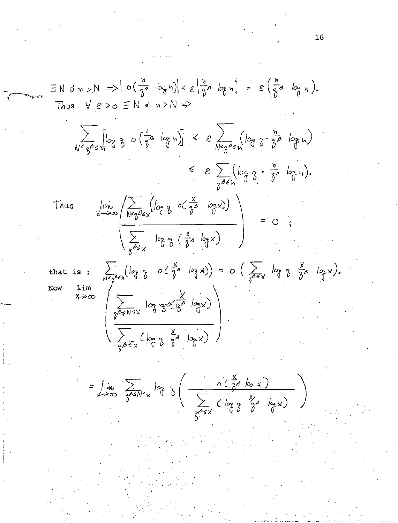$\exists N \ni n > N \Rightarrow |o(\frac{n}{3^{2}} log n)| < \varepsilon \left|\frac{n}{3^{2}} log n\right| = \varepsilon \left(\frac{n}{3^{2}} log n\right).$ Thus  $V \in \ge 0$   $\exists$   $N \ne 0$   $\Rightarrow$  $\sum_{N\leq q^{\beta}\leq n}[log\ \beta\ \circ(\frac{h}{\delta^{\beta}}\ log\ n)] \leq \varepsilon\sum_{N\leq q^{\beta}\leq n}(log\ \beta\cdot\frac{n}{\delta^{\beta}}log\ n)$  $\leq e \sum_{n \in \mathbb{N}} (log \gamma \cdot \frac{n}{\delta}, log n).$  $V \rightarrow \infty$ <br>  $V \rightarrow \infty$ <br>  $\frac{\sqrt{N^2}e^{-\frac{1}{2}(1-\gamma)}}{\sqrt{\frac{\sum_{\substack{\alpha,\beta\leq x}}\log n}{\sum_{\substack{\alpha,\beta\leq x}}}} \log n}$  ( $\frac{x}{\gamma^2}$   $log x$ ) = 0; Thus that is :  $\sum_{N \leq \tilde{\jmath} \leq x} (\log \tilde{\jmath} \circ (\tilde{\jmath}^{\beta} \circ \log x)) = o \left( \sum_{\tilde{\jmath} \leq x} \log \tilde{\jmath} \tilde{\jmath}^{\beta} \log \chi \right).$ Now  $x \rightarrow \infty$ <br> $\left(\sum_{\substack{\gamma \in \mathcal{N} \leq x \\ \gamma \in \mathcal{N}}} \log \frac{x}{\gamma} \log \frac{x}{\gamma}}$ =  $\lim_{x\to\infty} \sum_{\delta^{65}N^{2}x} log \frac{1}{\delta} (\frac{0(\frac{1}{\delta^8}log x)}{\sum_{\gamma\sim\epsilon} log \frac{y}{\delta} log \frac{y}{\delta}})$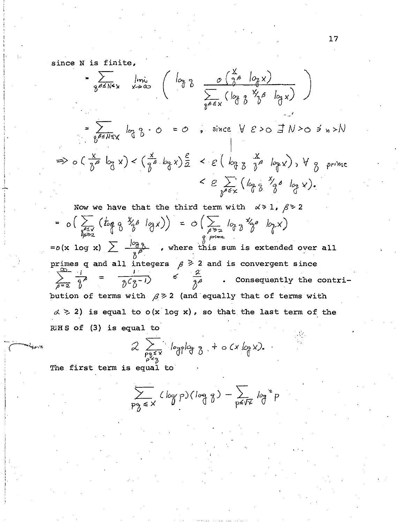since N is finite,

$$
= \sum_{\substack{\beta \in N^2x \\ \beta \in N^2x}} \lim_{x \to \infty} (log \frac{1}{\beta} - \frac{1}{\sum_{\substack{\beta \in X \\ \beta \in X}} (log \frac{1}{\beta} - \frac{1}{\beta} - \frac{1}{\beta} - \frac{1}{\beta})})
$$
  

$$
= \sum_{\substack{\beta \in N^2x \\ \beta \in N^2x}} log \frac{1}{\beta} \cdot 0 - 0 = 0
$$
, since  $\forall \xi > 0 \exists N > 0 \neq n > N$   

$$
> 0 \cdot (\frac{x}{\beta} - log x) < (\frac{x}{\beta} - log x) \frac{\epsilon}{2} < \epsilon (log \frac{x}{\beta} - log x) , \forall \frac{x}{\beta} \text{ prime}
$$
  

$$
< \epsilon \sum_{\substack{\beta \in X \\ \beta \in X}} (log \frac{x}{\beta} - log x).
$$

Now we have that the third term with  $\alpha > 1$ ,  $\beta > 2$ =  $o\left(\sum_{\substack{\delta \leq x \\ \delta \rho > z}} (\log \delta^x \delta^{\beta} \log x) \right) = o\left(\sum_{\rho > z} \log \delta^x \delta^{\beta} \log x \right)$  $= o(x \log x) \sum \frac{\log \beta}{x^{\beta}}$  , where this sum is extended over all primes q and all integers  $\beta \geq 2$  and is convergent since  $\sum_{\beta=2}^{\infty} \frac{1}{\beta^{\beta}}$  $=\frac{1}{\delta^2 \delta^{-1}}$  $\leq$ Consequently the contribution of terms with  $\beta \geq 2$  (and equally that of terms with  $\alpha > 2$ ) is equal to o(x log x), so that the last term of the  $R<sup>i</sup>H S of (3) is equal to$ 

$$
2\sum_{\substack{p_3\leq x\\p^2\geq 3}} log plog 8 + o(x log x).
$$

The first term is equal to

$$
\sum_{p\gamma\in X} (log p)(log q) - \sum_{p\leq \sqrt{X}} log^2 p
$$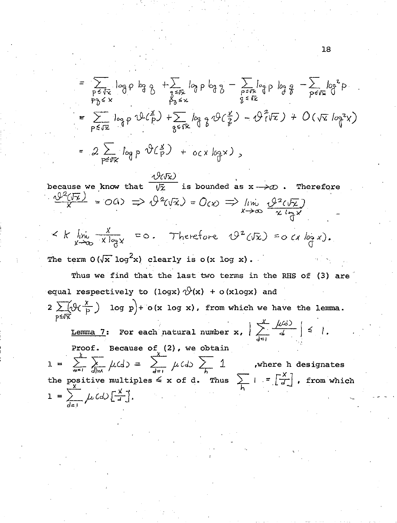$$
= \sum_{\substack{p \leq \sqrt{x} \\ p \neq x}} \log p \log \frac{1}{\beta} + \sum_{\substack{z \leq \sqrt{x} \\ p \neq x}} \log p \log \frac{1}{\beta} - \sum_{\substack{z \leq \sqrt{x} \\ z \neq x}} \log p \log \frac{1}{\beta} - \sum_{\substack{z \leq \sqrt{x} \\ z \neq x}} \log \frac{1}{\beta} \log \frac{1}{\beta} - \sum_{\substack{z \leq \sqrt{x} \\ p \neq x}} \log \frac{1}{\beta} \log \frac{1}{\beta} - \sum_{\substack{z \leq \sqrt{x} \\ p \neq x}} \log \frac{1}{\beta} \log \frac{1}{\beta} - \sum_{\substack{z \leq \sqrt{x} \\ p \neq x}} \log \frac{1}{\beta} \log \frac{1}{\beta} - \sum_{\substack{z \leq \sqrt{x} \\ p \neq x}} \log \frac{1}{\beta} \log \frac{1}{\beta} - \sum_{\substack{z \leq \sqrt{x} \\ p \neq x}} \log \frac{1}{\beta} \log \frac{1}{\beta} - \sum_{\substack{z \leq \sqrt{x} \\ p \neq x}} \log \frac{1}{\beta} \log \frac{1}{\beta} - \sum_{\substack{z \leq \sqrt{x} \\ p \neq x}} \log \frac{1}{\beta} \log \frac{1}{\beta} - \sum_{\substack{z \leq \sqrt{x} \\ p \neq x}} \log \frac{1}{\beta} - \sum_{\substack{z \leq \sqrt{x} \\ p \neq x}} \log \frac{1}{\beta} - \sum_{\substack{z \leq \sqrt{x} \\ p \neq x}} \log \frac{1}{\beta} - \sum_{\substack{z \leq \sqrt{x} \\ p \neq x}} \log \frac{1}{\beta} - \sum_{\substack{z \leq \sqrt{x} \\ p \neq x}} \log \frac{1}{\beta} - \sum_{\substack{z \leq \sqrt{x} \\ p \neq x}} \log \frac{1}{\beta} - \sum_{\substack{z \leq \sqrt{x} \\ p \neq x}} \log \frac{1}{\beta} - \sum_{\substack{z \leq \sqrt{x} \\ p \neq x}} \log \frac{1}{\beta} - \sum_{\substack{z \leq \sqrt{x} \\ p \neq x}} \log \frac{1}{\beta} - \sum_{\substack{z \
$$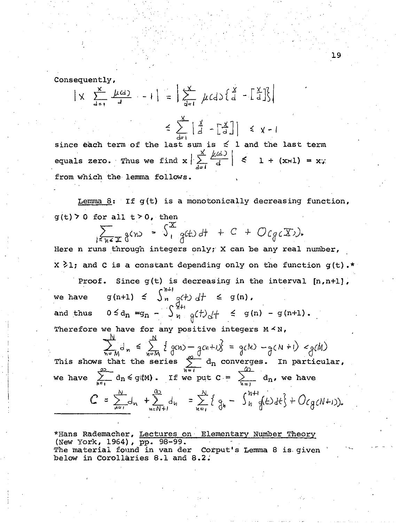Consequently,  
\n
$$
|\times \sum_{d=1}^{x} \frac{\mu(d)}{d} - 1| = |\sum_{d=1}^{x} \mu(d) \{\begin{bmatrix} x \\ d \end{bmatrix} - \begin{bmatrix} \frac{x}{d} \\ \frac{1}{2} \end{bmatrix} \}
$$

 $\leq \sum_{d=1}^{\infty} \left[ \frac{x}{d} - \left[ \frac{x}{d} \right] \right] \leq x-1$ since each term of the last sum is  $\leq$  1 and the last term equals zero. Thus we find  $x \left| \sum_{d=1}^{x} \frac{f(d)}{d} \right| \leq 1 + (x+1) = x$ ; from which the lemma follows.

Lemma 8: If  $q(t)$  is a monotonically decreasing function,  $g(t)$  > 0 for all  $t > 0$ , then

 $\sum_{i=0}^{\infty} g(n) = \int_{1}^{X} g(t) dt + C + O(g_c(X)).$ 

Here n runs through integers only; X can be any real number,  $X > 1$ : and C is a constant depending only on the function g(t).\*

Proof. Since  $g(t)$  is decreasing in the interval  $[n,n+1]$ , we have  $g(n+1) \leq \int_{n}^{n+1} g(t) dt \leq g(n)$ , we have  $g(n+1) \leq \int_{n}^{n} g(t) dt \leq g(n)$ ,<br>and thus  $0 \leq d_n = g_n - \int_{n}^{n+1} g(t) dt \leq g(n) - g(n+1)$ . Therefore we have for any positive integers  $M \leq N$ ,

This shows that the series  $\sum_{n=M} d_n \leq \sum_{n=M} \{ q(n) - q(n+\lambda) \} = q(k) - q(k+1) < q(k)$ <br>This shows that the series  $\sum_{n=1}^{\infty} d_n$  converges. In particular, we have  $\sum_{n=1}^{\infty} d_n \leq g(M)$ . If we put  $C = \sum_{n=1}^{\infty} d_n$ , we have  $C = \sum_{n=1}^{N} d_n + \sum_{n=1}^{N} d_n = \sum_{n=1}^{N} \{q_n - \int_{n=1}^{N+1} (d_n d_n + O(g(N+1))).$ 

I

 $\vert$  $\mathbf{I}$ 

> \*Hans Rademacher, Lectures on Elementary Number Theory (New York, 1964), pp. 98-99. The material found in van der Corput's Lemma 8 is. given below in Corollaries 8.1 and 8.2.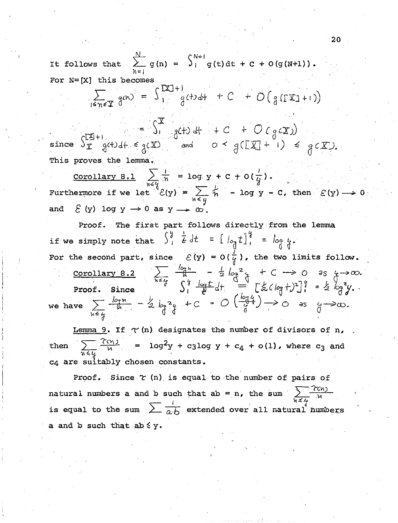It follows that  $\sum_{h=1}^{N} g(n) = \int_{1}^{N+1} g(t) dt + C + O(g(N+1)).$ For  $N = [X]$  this becomes

 $\sum_{1 \le n \le T} g(n) = \int_{1}^{[2T]+1} g(t) dt + C + O(g(\Gamma T) + 1)$ 

since  $S_{\overline{x}}^{\underline{x}}$  g(+) df + C + O (g( $\overline{x}$ )<br>since  $S_{\overline{x}}^{\underline{x}}$  g(+) df =  $S_{\overline{x}}^{\underline{x}}$  g(+) df + C + O (g( $\overline{x}$ ) + () = g( $\overline{x}$ ). This proves the lemma Corollary 8.1  $\sum_{n\geq 0} \frac{i}{n}$  = log y + C + 0( $\frac{i}{y}$ ).

Furthermore if we let  $\mathcal{E}(y) = \sum_{y \leq y} \frac{1}{n}$  - log y - C, then  $\mathcal{E}(y) \rightarrow 0$  $\mathcal{E}(y)$  log  $y \rightarrow 0$  as  $y \rightarrow \infty$ . and

Proof. The first part follows directly from the lemma if we simply note that  $\int_{1}^{y} \frac{1}{\epsilon} dt = [\int_{\partial_{\alpha}} t]_{1}^{y} = \int_{\partial_{\alpha}} t$ . For the second part, since  $\mathcal{E}(y) = O(\frac{1}{y})$ , the two limits follow. <u>Corollary 8.2</u>  $\sum_{n \leq t} \frac{log n}{n} - \frac{1}{2}log^2 x + C \longrightarrow 0$  as  $x \to \infty$ .<br>Proof. Since  $\sum_{n \leq t} \frac{log t}{n} dt = \sum_{n=1}^{0} [\frac{1}{2} (log t)^2]_1^q = \frac{1}{2} log^2 y$ . we have  $\sum_{h \in L} \frac{\log n}{h} - \frac{1}{2} \log^2 \frac{1}{h} + C = O\left(\frac{\log 4}{\frac{1}{0}}\right) \rightarrow O$  as  $\frac{1}{0} \rightarrow \infty$ .

Lemma 9. If  $\tau$  (n) designates the number of divisors of n,  $\sum \frac{\gamma_{\text{cm}}}{n}$ =  $\log^2 y$  + c3log y + c<sub>4</sub> + o(1), where c<sub>3</sub> and then c4 are suitably chosen constants.

Proof. Since  $\tau$  (n) is equal to the number of pairs of natural numbers a and b such that ab = n, the sum  $\sum_{k \leq 4} \frac{c(n)}{n}$ is equal to the sum  $\sum \frac{l}{a \cdot b}$  extended over all natural numbers a and b such that  $ab \leq y$ .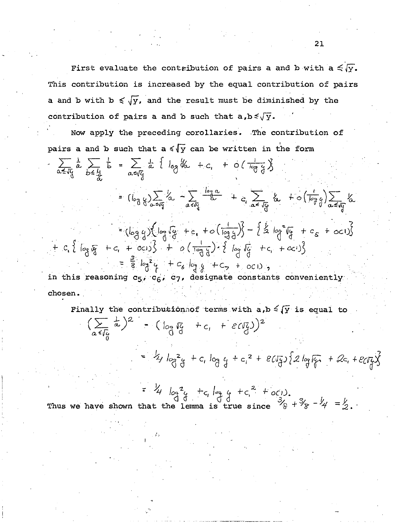First evaluate the contribution of pairs a and b with a  $\leq \sqrt{x}$ . This contribution is increased by the equal contribution of pairs a and b with  $b \leq \sqrt{y}$ , and the result must be diminished by the contribution of pairs a and b such that  $a, b \leq \sqrt{y}$ .

Now apply the preceding corollaries. The contribution of pairs a and b such that  $a \le \sqrt{y}$  can be written in the form

$$
\sum_{\alpha \leq \sqrt{3}} \frac{1}{\alpha} \sum_{\beta \leq \frac{11}{24}} \frac{1}{\beta} = \sum_{\alpha \leq \sqrt{3}} \frac{1}{\alpha} \frac{1}{\alpha} \log \frac{1}{\alpha} + c_1 + o\left(\frac{1}{\log 3}\right)
$$
  
\n
$$
= (\log \frac{1}{3}) \sum_{\alpha \leq \sqrt{3}} \frac{1}{\alpha} - \sum_{\alpha \leq \sqrt{3}} \frac{\log \alpha}{\alpha} + c_1 \sum_{\alpha \leq \sqrt{3}} \frac{1}{\log 3} + o\left(\frac{1}{\log 3}\right) \sum_{\alpha \leq \sqrt{3}} \frac{1}{\alpha} \alpha
$$
  
\n
$$
= (\log 3) \left(\log \sqrt{3} + c_1 + o\left(\frac{1}{\log 3}\right)\right) - \frac{1}{2} \log \sqrt{3} + c_5 + o(1)
$$

+  $c_i$  {  $\log_{10} \pi$  +  $c_i$  +  $\infty$ ) } +  $o(\frac{1}{\log_{10} \xi}) \cdot \frac{1}{\log_{10} \xi} + c_i + \infty$ ) }<br>=  $\frac{3}{8} \log^2 \frac{1}{\xi} + c_g \log_{\frac{1}{\xi}} \frac{1}{\xi} + c_g + o(1)$ ,<br>in this reasoning  $c_5$ ,  $c_6$ ,  $c_7$ , designate constants conveniently chosen.

Finally the contribution of terms with a, b 
$$
\leq \sqrt{y}
$$
 is equal to  
\n
$$
\left(\sum_{\alpha \leq \sqrt{y}} \frac{1}{\alpha}\right)^2 - \left(\int_{\partial g} \sqrt{y} + c_1 + \frac{\varepsilon(\sqrt{y})}{3}\right)^2
$$
\n
$$
= \frac{1}{4} \int_{\partial g}^2 \frac{1}{9} + c_1 \log \frac{1}{4} + c_1^2 + \frac{\varepsilon(\sqrt{y})}{3} \left\{2 \log \sqrt{y} + 2c_1 + \frac{\varepsilon(\sqrt{y})}{3}\right\}
$$
\n
$$
= \frac{1}{4} \int_{\partial g}^2 \frac{1}{\sqrt{y}} + c_1 \log \left(1 + c^2 + \frac{\varepsilon(\sqrt{y})}{3} + \frac{\varepsilon(\sqrt{y})}{3}\right)
$$

Thus we have shown that the lemma is true since  $\frac{3}{8} + \frac{3}{8} - \frac{1}{4} = \frac{1}{2}$ .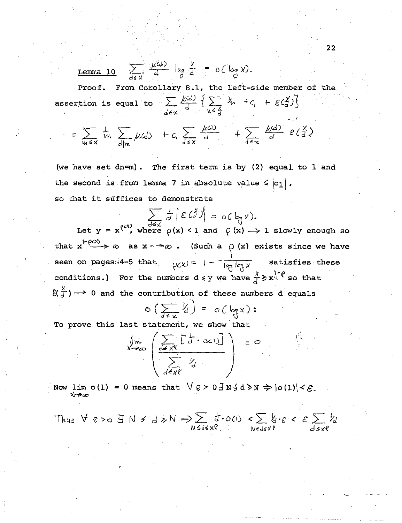Lemma 10 
$$
\sum_{d \neq x} \frac{\mu(d)}{d} \log \frac{x}{d} = o(\log x)
$$
.

From Corollary 8.1, the left-side member of the Proof. assertion is equal to  $\sum_{d \in \chi} \frac{\mu(d)}{d} \left\{ \sum_{n \leq \frac{\chi}{d}} \frac{1}{n} + c_i + \varepsilon \left( \frac{\chi}{d} \right) \right\}$ 

$$
= \sum_{m \leq x} \frac{1}{m} \sum_{d \mid m} \mu(d) + c_{v} \sum_{d \leq x} \frac{\mu(d)}{d} + \sum_{d \leq x} \frac{\mu(d)}{d} e(\frac{x}{d})
$$

(we have set dn=m). The first term is by  $(2)$  equal to  $1$  and the second is from lemma 7 in absolute value  $\leq |c_1|$ , so that it suffices to demonstrate

$$
\sum_{d\leq x} \frac{1}{d} \left| \mathcal{E}(\mathcal{L}) \right| = o(\mathcal{L}, x).
$$

Let  $y = x^{(2x)}$ , where  $\rho(x) < 1$  and  $\rho(x) \rightarrow 1$  slowly enough so that  $x^{\text{1--}\rho\alpha\lambda}$   $\rightarrow \infty$  as  $x \rightarrow \infty$ . (Such a  $\rho(x)$  exists since we have seen on pages::4-5 that  $\rho_C(x) = 1 - \frac{1}{\rho_C \log x}$  satisfies these conditions.) For the numbers  $d \le y$  we have  $\frac{x}{d} \ge x^{1-\rho}$  so that  $\mathcal{E}(\frac{x}{d}) \longrightarrow 0$  and the contribution of these numbers d equals

$$
\circ \left( \sum_{d \in \mathcal{X}} \frac{1}{d} \right) = \circ \left( \log \mathcal{X} \right) :
$$

To prove this last statement, we show that

$$
\lim_{x \to \infty} \left( \frac{\sum_{d \in X^Q} [\frac{1}{d} \cdot \frac{1}{d} \cdot \frac{1}{d}]}{\sum_{d \in X^Q} \frac{1}{d}} \right) = 0
$$

Now lim  $o(1) = 0$  means that  $\forall g > 0 \exists N \exists d \ge N \Rightarrow |o(1)| < \varepsilon$ . √∽⊅∞

Thus 
$$
\forall \epsilon > 0 \exists N \neq d \ge N \Rightarrow \sum_{N \le d \le x} d \cdot o(n) < \sum_{N \le d \le xP} k_1 \cdot \epsilon < \epsilon \sum_{d \le xP} k_d
$$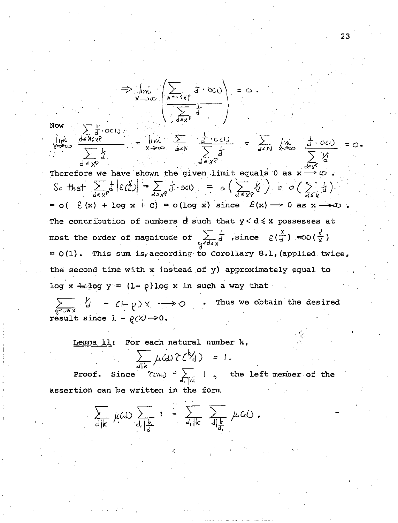$$
\Rightarrow \lim_{x \to \infty} \left( \frac{\sum_{\substack{\text{odd }x}} d \cdot \infty}{\sum_{\substack{\text{odd }x}} d \cdot \infty} \right) = 0.
$$
\nNow\n
$$
\frac{\sum_{\substack{\text{odd }x}} d \cdot \infty}{\sum_{\substack{\text{odd }x}} d \cdot \infty}
$$
\n
$$
\frac{\sum_{\substack{\text{odd }x}} d \cdot \infty}{\sum_{\substack{\text{odd }x}} d \cdot \infty} = \lim_{x \to \infty} \sum_{\substack{\text{odd }x}} \frac{\frac{1}{d} \cdot \infty}{\sum_{\substack{\text{odd }x}} d \cdot \infty} = \sum_{\substack{\text{odd }x}} \lim_{x \to \infty} \frac{\frac{1}{d} \cdot \infty}{\sum_{\substack{\text{odd }x}} d \cdot \infty} = 0.
$$
\n
$$
\text{Therefore we have shown the given limit equals 0 as } x \to \infty.
$$
\n
$$
\text{So that } \sum_{\substack{\text{odd }x}} \frac{1}{d} |\mathcal{E}(\frac{x}{d})| = \sum_{\substack{\text{odd }x}} \frac{1}{d} \cdot \infty
$$
\n
$$
= 0 \quad (\mathcal{E}(x) + \log x + c) = 0 \quad (\log x) \quad \text{since } \mathcal{E}(x) \to 0 \quad \text{as } x \to \infty.
$$
\n
$$
\text{The contribution of numbers } d \text{ such that } y < d \le x \text{ possesses at } x \to \infty.
$$
\n
$$
\text{The order of magnitude of } \sum_{\substack{\text{odd }x}} \frac{1}{d} \quad \text{since } \mathcal{E}(\frac{x}{d}) = 0 \quad (\frac{d}{x}).
$$

 $\sum_{\substack{\mathcal{U} \subset \mathcal{U} \subset \mathcal{X}}} \tilde{d}$  , since  $\mathcal{E}(\tilde{d}) = 0(\frac{1}{\chi})$  $= 0(1)$ . This sum is, according to Corollary 8.1, (applied twice, the second time with x instead of y) approximately equal to log x  $\div$  log y =  $(1-\rho)$ log x in such a way that

 $\sum_{\substack{Q \le d \le X \\ Q \le d \le X}} \frac{1}{d} - C - \rho X \longrightarrow O$  . Thus we obtain the desired result since  $1 - \rho(X) \longrightarrow 0$ .

Lemma 11: For each natural number k,

$$
\frac{1}{\sqrt{4k}} \mu(\text{d}) \gamma(\text{d}) = 1.
$$

**Proof.** Since  $\gamma_{(m_i)} = \sum_{d_i \mid m_i} 1$ , the left member of the assertion can be written in the form

$$
\sum_{d|k} \mu(d) \sum_{d, |\underline{k}|} 1 = \sum_{d, |k|} \sum_{d| \underline{k}|} \mu(d).
$$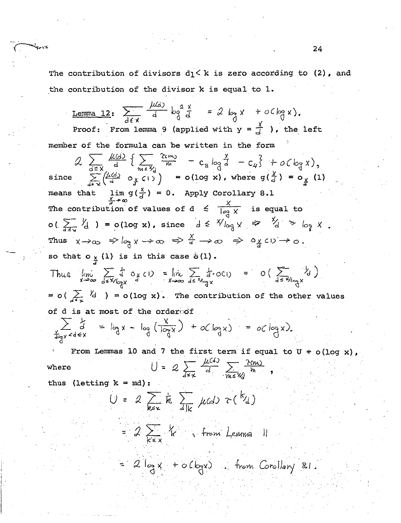The contribution of divisors  $d_1 < k$  is zero according to (2), and the contribution of the divisor k is equal to 1.

<u>Lemma 12:</u>  $\sum_{x} \frac{\mu(x)}{d} \log \frac{2 \times x}{d} = 2 \log x + o(\log x)$ . Proof: From lemma 9 (applied with  $y = \frac{x}{d}$  ), the left member of the formula can be written in the form  $\mathcal{L}$   $\frac{\sqrt{4+1}}{3}$   $\frac{\sqrt{4+1}}{3}$   $\frac{\sqrt{4+1}}{3}$   $\frac{\sqrt{4+1}}{3}$   $\frac{\sqrt{4+1}}{3}$   $\frac{\sqrt{4+1}}{3}$   $\frac{\sqrt{4+1}}{3}$   $\frac{\sqrt{4+1}}{3}$   $\frac{\sqrt{4+1}}{3}$   $\frac{\sqrt{4+1}}{3}$   $\frac{\sqrt{4+1}}{3}$   $\frac{\sqrt{4+1}}{3}$   $\frac{\sqrt{4+1}}{3}$   $\frac{\sqrt{4+1}}{3}$   $\$ means that  $\lim_{x\to\infty} g(\frac{x}{d}) = 0$ . Apply Corollary 8.1 The contribution of values of  $d \le \frac{X}{\log X}$  is equal to  $o\left(\sum_{d\leq x} Y_d\right) = o(\log x)$ , since  $d \leq Y \log x \Rightarrow Y_d > log x$ . Thus  $x \rightarrow \infty$   $\Rightarrow \log x \rightarrow \infty$   $\Rightarrow \frac{X}{d} \rightarrow \infty$   $\Rightarrow \log c \cup \rightarrow \infty$ . so that  $o_{\frac{x}{T}}(1)$  is in this case  $\hat{o}(1)$ . Thus  $\lim_{x\to\infty} \sum_{d\leq x}/\lim_{d\geq x} f(x) = \lim_{x\to\infty} \sum_{d\leq x}/\lim_{d\leq x} f(x) = O\left(\sum_{d\leq x}/\lim_{d\geq x}/\lim_{d\geq x}/\lim_{d\geq x}/\lim_{d\geq x}/\lim_{d\geq x}/\lim_{d\geq x}/\lim_{d\geq x}/\lim_{d\geq x}/\lim_{d\geq x}/\lim_{d\geq x}/\lim_{d\geq x}/\lim_{d\geq x}/\lim_{d\geq x}/\lim_{d\geq x}/\lim_{d\geq x}/\lim_{d$ =  $o(\sum_{d\leq x} \frac{V_d}{d})$  =  $o(log x)$ . The contribution of the other values of d is at most of the orderoof  $\sum_{\substack{x\\ \text{deg } x \le d \le x}} \frac{1}{d} = \log x - \log \left( \frac{x}{\log x} \right) + o(\log x) = o(\log x).$ From Lemmas 10 and 7 the first term if equal to  $U + o(log x)$ ,  $U = 2 \sum_{k=1}^{\infty} \frac{\mu(s)}{d} \sum_{m \leq n} \frac{\lambda(m)}{h}$ where thus (letting  $k = md$ ):  $U = 2 \sum_{k \leq x} k \sum_{l|k} \mu(d) \tau^{\binom{k}{d}}$ =  $2\sum_{k=1}^{n}$   $k$ , from Lemma  $\begin{array}{c} \hline \end{array}$ 

=  $2 \log x + o(\log x)$ , from Corollary 8.1.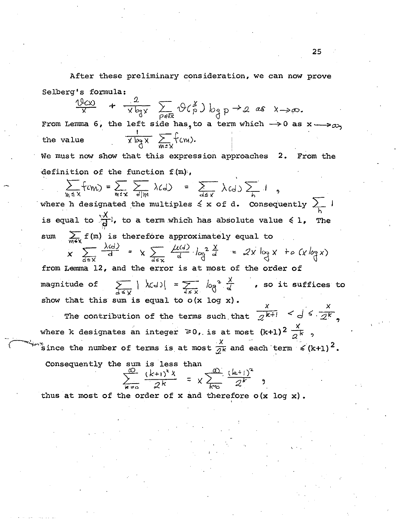After these preliminary consideration, we can now prove Selberg's formula:

+  $\frac{2}{x \log x}$   $\sum_{\rho \leq \sqrt{x}} \varphi(\frac{x}{p}) \log p \to a$  as  $x \to \infty$ . From Lemma 6, the left side has, to a term which  $\rightarrow$  0 as x  $\rightarrow$   $\infty$ ,  $\frac{1}{x \log x}$   $\sum_{m \leq x} f_{cm}$ . the value

We must now show that this expression approaches 2. From the definition of the function  $f(m)$ ,

 $\sum_{m \leq x} f_{\ell m} = \sum_{m \leq x} \sum_{d | m} \lambda(d) = \sum_{d \leq x} \lambda(d) \sum_{k}$ 

where h designated the multiples  $\leq x$  of d. Consequently  $\geq 1$ is equal to  $\frac{\sqrt{x}}{d}$ , to a term which has absolute value  $\leq 1$ , The  $sum$ 

 $\sum_{m \le x} f(m)$  is therefore approximately equal to<br>  $x$   $\sum_{d \le x} \frac{\lambda(d)}{d} = x$   $\sum_{d \le x} \frac{\mu(d)}{d} \log^2 \frac{x}{d} = 2x \log x + o(x \log x)$ from Lemma 12, and the error is at most of the order of  $\sum_{d \leq V} |\chi(d)| = \sum_{d \leq V} \log^2 \frac{\chi}{d}$  , so it suffices to magnitude of show that this sum is equal to  $o(x \log x)$ .

The contribution of the terms such that  $\frac{x}{2^{k+l}} <$   $d \leq \frac{x}{2^k}$ . where k designates an integer  $\geq 0$ , is at most  $(k+1)^2 \frac{x}{2^k}$ , since the number of terms is at most  $\frac{x}{2^k}$  and each term  $\leq (k+1)^2$ .

Consequently the sum is less than

$$
\frac{w}{z^{k}} \frac{(k+1)^{2} x}{2^{k}} = x \sum_{k=0}^{w} \frac{(k+1)^{2}}{2^{k}}.
$$

thus at most of the order of  $x$  and therefore  $o(x \log x)$ .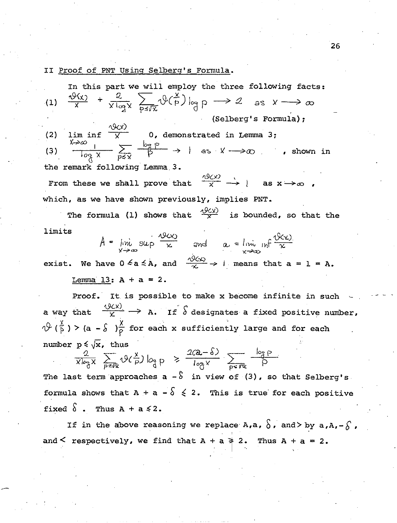II Proof of PNT Using Selberg's Formula.

In this part we will employ the three following facts: (1)  $\frac{\vartheta(x)}{x} + \frac{2}{x \log x} \sum_{n \in \mathbb{Z}} \vartheta(\frac{x}{p}) \log p \longrightarrow 2$  $\frac{1}{x}$  +  $\frac{1}{x \log x}$   $\sum_{p \le x} \sqrt[n]{p} \log p \longrightarrow 2$  as  $x \longrightarrow \infty$ (Selberg's Formula);  $\frac{Q(x)}{x}$  0, demonstrated in Lemma 3; (2)  $\frac{1}{\log x}$   $\sum_{p \leq x} \frac{\log p}{p}$  $\sum_{p \leqslant x} \frac{1}{p}$   $\rightarrow$   $\rightarrow$   $\rightarrow$   $\infty$  . shown in (3) the remark following Lemma. 3. From these we shall prove that  $\frac{\partial f(x)}{\partial x} \rightarrow 0$  as  $x \rightarrow \infty$  , which, as we have shown previously, implies PNT. The formula (1) shows that  $\frac{\langle 0 \rangle_C(y)}{X}$  is bounded, so that the limits  $A = \lim_{x \to \infty} \sup \frac{\sqrt{x}}{x}$  and  $a = \lim_{x \to \infty} \inf \frac{\sqrt{x}}{x}$ exist. We have  $0 \le a \le A$ , and  $\frac{\sqrt{9(x)}}{x} \to 1$  means that  $a = 1 = A$ . Lemma 13:  $A + a = 2$ . Proof. It is possible to make x become infinite in such  $\frac{(\mathcal{Y}(\mathsf{x}))}{\mathcal{Y}(\mathsf{x})} \longrightarrow \mathsf{x} \quad \mathsf{z} \in \mathcal{S}$ a way that  $\frac{\sqrt{V(X)}}{X}$   $\rightarrow$  A. If  $\delta$  designates a fixed positive number,  $\sqrt[3]{(\frac{x}{p})}$  > (a -  $\sqrt[5]{\frac{x}{p}}$  for each x sufficiently large and for each number  $p \leq \sqrt{x}$ , thus  $\frac{2}{x \log x}$   $\sum_{p \le y} \sqrt{(\frac{x}{p})} \log p \ge \frac{2(2-\delta)}{\log x}$   $\sum_{p \le y}$  $=$   $\frac{1}{\log x}$   $\frac{1}{\log x}$ 

The last term approaches a  $\stackrel{\frown}{s}$  in view of (3), so that Selberg's. formula shows that A + a -  $\delta$   $\leq$  2. This is true for each positive fixed  $\delta$  . Thus  $A + a \leq 2$ .

If in the above reasoning we replace A,a,  $\delta$ , and> by a,A,- $\delta$ , and  $\leq$  respectively, we find that  $A + a \geq 2$ . Thus  $A + a = 2$ .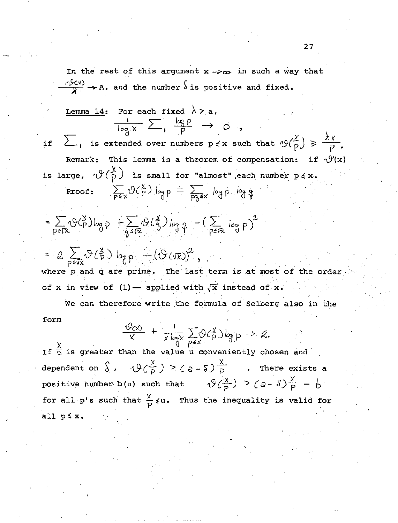In the rest of this argument  $x \rightarrow \infty$  in such a way that  $\frac{\partial \chi}{\partial X}$   $\rightarrow$  A, and the number  $\delta$  is positive and fixed.

Lemma 14: For each fixed 
$$
\lambda > a
$$
,  
\n $\frac{1}{\log x} \sum_{i} \frac{\log p}{p} \rightarrow 0$ ,  
\nif  $\sum_{i}$  is extended over numbers  $p \le x$  such that  $\mathcal{Y}(\frac{x}{p}) \ge \frac{\lambda x}{p}$ .  
\nRemark: This lemma is a theorem of compensation: if  $\mathcal{Y}(x)$   
\nis large,  $\mathcal{Y}(\frac{x}{p})$  is small for "almost", each number  $p \le x$ .  
\nProof:  $\sum_{x \in \mathcal{Y}} \mathcal{Y}(\frac{x}{p}) \log p = \sum_{x \in \mathcal{Y}} \log p \log q$ 

$$
= \sum_{p \leq \sqrt{x}} \langle \vartheta \langle \frac{x}{p} \rangle \big|_{\log P} + \sum_{g \leq \sqrt{x}} \langle \vartheta \langle \frac{x}{p} \rangle \big|_{\log P} - \left( \sum_{p \leq \sqrt{x}} \big|_{\log P} \right)^2
$$

is

$$
= 2 \sum_{p \leq \bar{x}} \vartheta(\beta) \bigg|_{\partial_p} \bigg|_{\partial_p} - (\vartheta(\bar{x}))^2,
$$
  
where p and q are prime. The last term is at most of the order  
of x in view of (1) — applied with  $\sqrt{x}$  instead of x.

We can therefore write the formula of Selberg also in the form

$$
\frac{\vartheta(x)}{x} + \frac{1}{x \log x} \sum_{p \in x} \vartheta(\xi) \log p \to \vartheta.
$$

If  $\frac{x}{p}$  is greater than the value u conveniently chosen and dependent on  $\int$ ,  $\vartheta(\frac{x}{p}) > (\vartheta - \vartheta)^{\frac{\chi}{p}}$  . There exists a positive humber b(u) such that  $\vartheta(\frac{x}{p}) > (a - \delta)\frac{x}{p} - b$ for all p's such that  $\frac{x}{p} \leq u$ . Thus the inequality is valid for all  $p \leq x$ .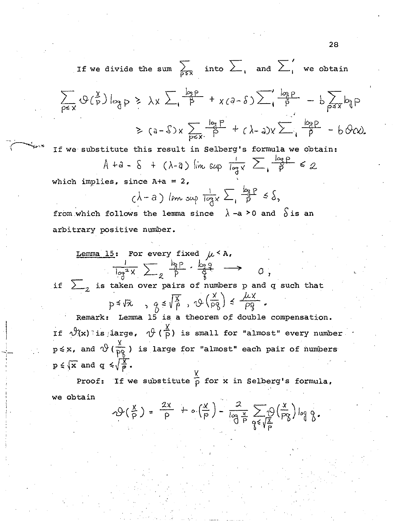If we divide the sum  $\sum_{p \leq x}$  into  $\sum_{1}$  and  $\sum_{1}^{\prime}$  we obtain

$$
\sum_{p\leq x} \Phi(\frac{x}{p}) \log p \geq \lambda x \sum_{p\leq x} \frac{\log p}{p} + x(a-\delta) \sum_{p\leq x} \frac{\log p}{p} - b \sum_{p\leq x} \log p
$$
  
 
$$
\geq (a-\delta)x \sum_{p\leq x} \frac{\log p}{p} + (b-a)x \sum_{p\leq x} \frac{\log p}{p} - b \Theta(x).
$$

If we substitute this result in Selberg's formula we obtain:

$$
A+a-\delta + (\lambda-a)\limsup_{n\to\infty}\frac{1}{\log x}\sum_{n\in\mathcal{P}}\frac{\log p}{p}<2.
$$

which implies, since  $A+a = 2$ ,

l  $\vert$ I

$$
(\lambda - a) \limsup_{y \to a} \frac{1}{\log x} \sum_{y \in a} \frac{b_{\alpha}p}{p} \leq \delta,
$$

from which follows the lemma since  $\lambda$  -a > 0 and  $\delta$  is an arbitrary positive number.

Lemma 15: For every fixed 
$$
\mu < A
$$
.  
\n
$$
\frac{1}{\log^2 x} \sum_{\substack{\alpha \\ \beta \\ \gamma}} \frac{\log p}{p} \cdot \frac{\log q}{q} \longrightarrow 0,
$$

if  $\sum_{z}$  is taken over pairs of numbers p and q such that

$$
p \le \sqrt{x}
$$
,  $g \le \sqrt{\frac{x}{p}}$ ,  $\varphi\left(\frac{x}{pg}\right) \le \frac{\sqrt{x}}{pg}$ .

Remark: Lemma 15 is a theorem of double compensation. If  $\vartheta(x)$  is large,  $\vartheta$  ( $\frac{X}{P}$ ) is small for "almost" every number  $p \leq x$ , and  $\sqrt[4]{(\frac{X}{pQ})}$  is large for "almost" each pair of numbers  $p \leq \sqrt{x}$  and  $q \leq \sqrt{\frac{x}{p}}$ .

Proof: If we substitute  $\frac{x}{p}$  for x in Selberg's formula, we obtain

$$
\mathcal{P}(\frac{x}{p}) = \frac{2x}{p} + o\left(\frac{x}{p}\right) - \frac{2}{\log \frac{x}{p}} \sum_{\beta \in \sqrt{\frac{x}{p}}} \theta\left(\frac{x}{p\beta}\right) \log \frac{x}{\beta}.
$$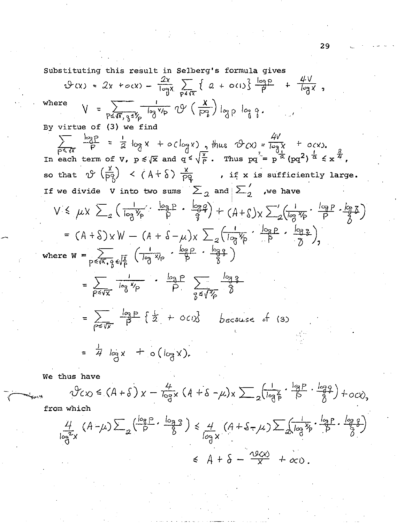Substituting this result in Selberg's formula gives

$$
\oint (x) = 2x + c(x) - \frac{2x}{\log x} \sum_{p \le x} \left\{ 2 + c(1) \right\} \frac{\log p}{p} + \frac{4V}{\log x},
$$
\nwhere  $V = \sum_{p \le x}, \frac{1}{3}, \frac{1}{5}$   $\sqrt{p}$   $\sqrt{p}$   $\left(\frac{x}{pq}\right) \log p \log q$ .  
\nBy virtue of (3) we find  
\n $\sum_{p \le x} \frac{\log p}{p} = \frac{1}{2} \log x + c(\log x), \text{ thus } \oint (x) = \frac{4V}{\log x} + c(x),$   
\nIn each term of  $V, p \le \sqrt{x}$  and  $q \le \sqrt{\frac{5}{p}}$ . Thus  $pq' = p^{\frac{1}{2}}(pq^2)^{\frac{1}{2}} \le x^{\frac{3}{2}}$ ,  
\nso that  $\oint \left(\frac{x}{p}\right) \le (A + \delta) \frac{x}{pq}$ , if x is sufficiently large.  
\nIf we divide V into two sums  $\sum_{2}$  and  $\sum_{2}'$  we have  
\n $V \le \mu x \sum_{2} \left(\frac{1}{\log x} + \frac{\log p}{p} + \frac{\log p}{q}\right) + (A + \delta)x \sum_{2} \left(\frac{1}{\log x} + \frac{\log p}{p} + \frac{\log p}{q}\right)$   
\n $= (A + \delta)xW - (A + \delta - \mu)x \sum_{2} \left(\frac{1}{\log x} + \frac{\log p}{p} + \frac{\log p}{q}\right),$   
\nwhere  $W = \sum_{p \le x} \frac{1}{\sqrt{x}} \left(\frac{1}{\log x} + \frac{\log p}{p} + \frac{\log q}{\delta}\right)$   
\n $= \sum_{p \le x} \frac{1}{\log x} \left(\frac{1}{\log x} + \frac{\log p}{p} + \frac{\log q}{\delta}\right)$   
\n $= \sum_{p \le x} \frac{1}{\log x} \left\{ \frac{1}{2} + c(x) \right\}$  because of (3)  
\n $= \frac{1}{\sqrt{x}} \log x + o(\log x).$ 

We thus have

$$
\sqrt[4]{\zeta x} \leq (A + \delta) x - \frac{4}{\log x} (A + \delta - \mu) x \sum_{1} \left( \frac{1}{\log \frac{x}{p}} \cdot \frac{\log p}{\beta} \cdot \frac{\log \beta}{\delta} \right) + o \, c \, \lambda
$$

from which

$$
\frac{4}{\log^{2}x} (A-\mu) \sum_{a} \left(\frac{\log P}{P} \cdot \frac{\log q}{\delta}\right) \le \frac{4}{\log x} (A+S-\mu) \sum_{a} \left(\frac{1}{\log x} \cdot \frac{\log P}{\delta} \cdot \frac{\log q}{\delta}\right)
$$
  

$$
\le A+S-\frac{25(1)}{2} + 25(1)
$$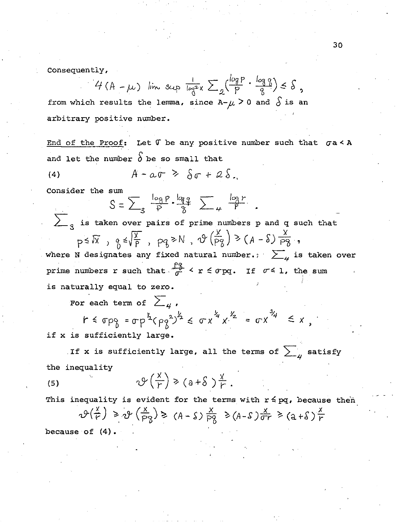Consequently,

$$
H(A - \mu)
$$
 lim sup  $\frac{1}{\log^2 x}$   $\sum_{q} \left(\frac{\log p}{p} \cdot \frac{\log q}{q}\right) \leq \delta$ ,

from which results the lemma, since A- $\mu$  > 0 and  $\delta$  is an arbitrary positive number.

End of the Proof: Let  $\mathfrak f$  be any positive number such that  $\sigma$ a< A and let the number  $\delta$  be so small that

$$
(4) \qquad A - \alpha \sigma \geq \delta \sigma + 2 \delta.
$$

Consider the sum

$$
S=\sum_{3}\frac{\log P}{P}\cdot\frac{\log q}{8}\sum_{\mu}\frac{\log r}{P}
$$

 $\sum_{q}$  is taken over pairs of prime numbers p and q such that  $p \leq N$ ,  $q \leq \sqrt{\frac{X}{P}}$ ,  $pq \geq N$ ,  $\vartheta(\frac{X}{PZ}) \geq (A - S) \frac{X}{PZ}$ , where N designates any fixed natural number.  $\sum_{\mu}$  is taken over prime numbers r such that  $\frac{P_0^2}{\sigma} < r \leq \sigma$  pq. If  $\sigma \leq 1$ , the sum is naturally equal to zero.

For each term of  $\sum_{\mu}$  ,

$$
r \leq \sigma p_{\beta} = \sigma p^{\frac{y}{2}} (p_{\beta}^{2})^{\frac{y}{2}} \leq \sigma x^{\frac{y}{4}} x^{\frac{y}{2}} = \sigma x^{\frac{y}{4}} \leq x
$$

if x is sufficiently large.

. If x is sufficiently large, all the terms of  $\sum_{\mu}$  satisfy the inequality

$$
\mathcal{Y}\left(\frac{x}{r}\right) \geq (a+\delta)\frac{x}{r}.
$$

This inequality is evident for the terms with  $r \leq pq$ , because then  $\mathcal{P}(\frac{x}{r}) \geq \mathcal{P}(\frac{x}{p} - 1) \geq (A - 1) \frac{x}{p} \geq (A - 1) \frac{x}{r} \geq (a + 1) \frac{x}{r}$ because of  $(4)$ .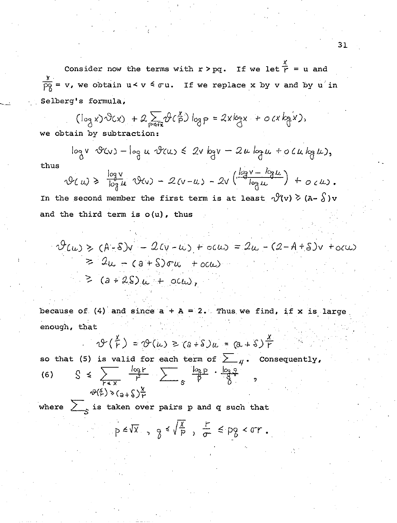Consider now the terms with  $r > pq$ . If we let  $\overline{r} = u$  and  $\frac{\gamma}{\beta}$  = v, we obtain  $u < v \leq \sigma u$ . If we replace x by v and by u<sup>'</sup> in Selberg's formula,

 $(\log x) \cdot \partial c x$ ) +  $2 \sum_{p \leq k} \partial c \frac{x}{p}$ )  $\log p = 2x \log x + o(x \log x)$ , we obtain by subtraction:

 $log v$   $\vartheta$ (v) -  $log u$   $\vartheta$ (u)  $\leq 2v$   $log v - 2u$   $log u + o$  (u  $log u$ ),

$$
\Psi(u) \ge \frac{\log v}{\log u} \Psi(v) - 2(v-u) - 2v \left( \frac{\log v - \log u}{\log u} \right) + o(u).
$$

In the second member the first term is at least  $\sqrt{2}(v) \geq (A - \delta)v$ and the third term is  $o(u)$ , thus

$$
\Psi(u) \ge (A-S)v - 2(v-w) + o(u) = 2u - (2-A+S)v + o(u)
$$
  
\n $\ge 2u - (a+S)\sigma u + o(u)$   
\n $\ge (a+2S)u + o(u),$ 

because of (4) and since  $a + A = 2$ . Thus we find, if x is large enough, that

$$
\vartheta\left(\frac{x}{r}\right) = \vartheta(u) \geq (a+8)u = (a+8)\frac{x}{r}
$$

so that (5) is valid for each term of  $\sum_{\mu}$ . Consequently,

$$
\begin{array}{lll}\n\text{(6)} & \text{S} & \leq & \frac{\log r}{r} & \text{log } r \\
& \text{log } r & \text{log } r & \text{log } r \\
& & \text{log } r & \text{log } r \\
& & & \text{log } r\n\end{array}
$$

thus

where  $\sum_{s=1}^{\infty}$  is taken over pairs p and q such that

$$
0 \leq \sqrt{X} \quad , \quad \gamma \leq \sqrt{\frac{X}{P}} \quad , \quad \frac{P}{\sigma} \leq P_{\gamma} \leq \sigma r \ .
$$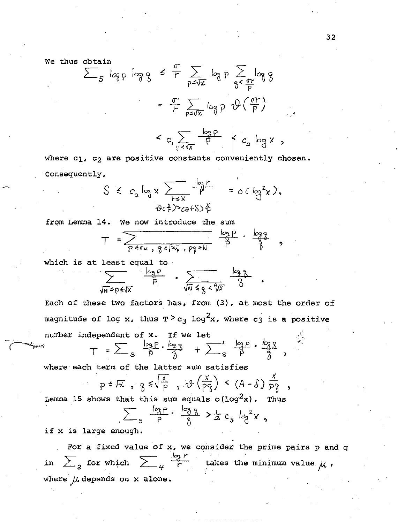We thus obtain

$$
\sum_{S} \log p \log \frac{1}{\sqrt{3}} \leq \frac{\sigma}{r} \sum_{p \leq \sqrt{x}} \log p \sum_{\gamma \leq \frac{\sigma r}{p}} \log \frac{1}{\gamma}
$$

 $\langle c_{1} \sum_{p \leq \sqrt{X}} \frac{\log p}{p} \rangle \langle c_{2} \log X, \rangle$ 

where c1, c<sub>2</sub> are positive constants conveniently chosen. ·consequently,

$$
S \leq c_2 \log x \sum_{r \leq x} \frac{|a_1 r}{r} = o(\log^2 x),
$$
  
0 $(\log^2 x)$ 

from Lemma 14. We now introduce the sum

$$
T = \frac{log p}{\frac{p}{p} \cdot \frac{log p}{p} \cdot \frac{p}{p} \cdot \frac{log p}{p}} \cdot \frac{log q}{p}
$$

which is at least equal to

$$
\sum_{\sqrt{N} \leq p \leq \sqrt{X}} \frac{\log p}{p} \cdot \sum_{\sqrt{N} \leq p \leq \sqrt{X}} \frac{\log p}{\delta} \cdot
$$

Each of these two factors has, from (3), at most the order of magnitude of log x, thus  $T > c_3$  log<sup>2</sup>x, where c3 is a positive number independent c

number Independent of x. If we let  

$$
\tau = \sum_{g} \frac{\log P}{P} \cdot \frac{\log P}{Q} + \sum_{g} \frac{\log P}{P} \cdot \frac{\log P}{Q}
$$

where each term of the latter sum satisfies

$$
p \leq \sqrt{x}, \quad g \leq \sqrt{\frac{x}{p}}, \quad \vartheta \left( \frac{x}{pq} \right) < (A - \delta) \frac{x}{pq}
$$

Lemma 15 shows that this sum equals o(log<sup>2</sup>x). Thus

$$
\sum_{3} \frac{1_{3}^{2} P}{P} \cdot \frac{1_{3}^{3} P}{P} \cdot \frac{1_{3}^{3} P}{P} \geq \frac{1}{2} c_{3} l_{3}^{2} x
$$

if x is large enough.

For a fixed value of  $x$ , we consider the prime pairs  $p$  and  $q$ in  $\sum_{3}$  for which  $\sum_{4} \frac{\log r}{r}$  takes the minimum value  $\mu$ . where  $\mu$  depends on x alone.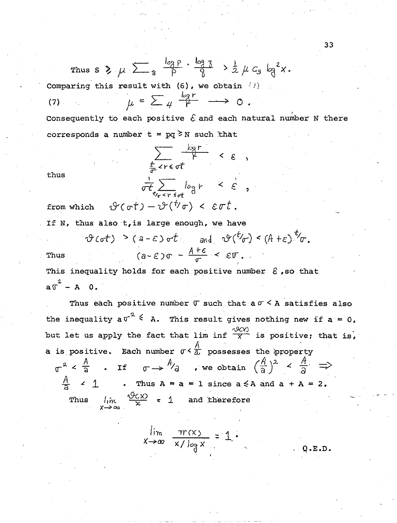Thus  $s \ge \mu \ge \frac{log p}{3}$   $\frac{log p}{p}$   $\frac{log 3}{8}$   $> \frac{1}{2} \mu c_3 log^2 x$ .

Comparing this result with  $(6)$ , we obtain  $(7)$ 

 $\mu = \sum_{\mu} \frac{\log r}{r} \longrightarrow 0$ .  $(7)$ 

Consequently to each positive  $\mathcal E$  and each natural number N there corresponds a number  $t = pq \geq N$  such that

> $\sum_{\substack{t \text{ odd}}} \frac{b_3 r}{f}$  <  $\varepsilon$ ,  $rac{1}{\sigma t} \sum_{t_{j_{\sigma} < r \leq \sigma^{\pm}}} \log r \leq \epsilon$ ,

thus

If N, thus also t, is large enough, we have

from which  $\vartheta(\sigma t) - \vartheta(\psi \sigma) < \varepsilon \sigma t$ .

 $\vartheta$  (ot)  $\geq$  (a - E) ot and  $\vartheta^{(t)}(\sigma)$  < (A + E)  $t/\sigma$ .  $(a-\epsilon)\sigma - \frac{A+\epsilon}{\tau} < \epsilon \mathbb{T}$ . Thus

This inequality holds for each positive number  $\epsilon$ , so that  $a\sigma^2 - A = 0$ .

Thus each positive number  $\sigma$  such that a  $\sigma < A$  satisfies also the inequality  $a\sigma^2 \leq a$ . This result gives nothing new if  $a = 0$ , but let us apply the fact that lim inf  $\frac{\partial \mathcal{C}(X)}{\mathcal{X}}$  is positive; that is, a is positive. Each number  $\sigma < \frac{A}{\Delta}$  possesses the property  $\sigma^2 < \frac{A}{a}$  . If  $\sigma \rightarrow {A \choose a}$  , we obtain  $(\frac{A}{a})^2 < \frac{A}{a}$   $\Rightarrow$  $\frac{A}{2}$  < 1 . Thus A = a = 1 since a  $\leq$  A and a + A = 2. Thus  $\lim_{x \to \infty} \frac{\sqrt{96x}}{x} = 1$  and therefore

$$
\lim_{x \to \infty} \frac{\pi(x)}{x / \log x} = 1
$$

 $Q.E.D.$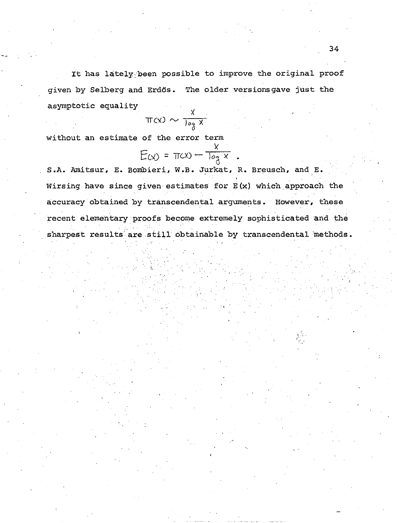It has lately been possible to improve the original proof given by Selberg and Erdös. The older versionsgave just the asymptotic equality

$$
\pi(x) \sim \frac{x}{\log x}
$$

without an estimate of the error term

$$
E(x) = \pi(x) - \frac{x}{\log x}.
$$

S.A. Amitsur, E. Bombieri, W.B. Jurkat, R. Breusch, and E. Wirsing have since given estimates for  $E(x)$  which approach the accuracy obtained by transcendental arguments. However, these recent elementary proofs become extremely sophisticated and the sharpest results are still obtainable by transcendental methods.